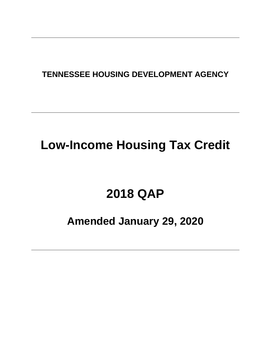## **TENNESSEE HOUSING DEVELOPMENT AGENCY**

# **Low-Income Housing Tax Credit**

# **2018 QAP**

# **Amended January 29, 2020**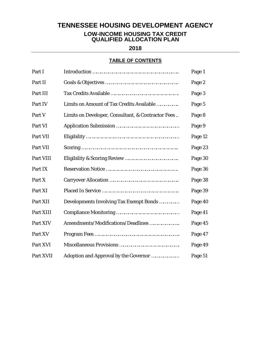### **TENNESSEE HOUSING DEVELOPMENT AGENCY**

#### **LOW-INCOME HOUSING TAX CREDIT QUALIFIED ALLOCATION PLAN**

**2018**

#### **TABLE OF CONTENTS**

| Part I    |                                                    | Page 1  |
|-----------|----------------------------------------------------|---------|
| Part II   |                                                    | Page 2  |
| Part III  |                                                    | Page 3  |
| Part IV   | Limits on Amount of Tax Credits Available          | Page 5  |
| Part V    | Limits on Developer, Consultant, & Contractor Fees | Page 8  |
| Part VI   |                                                    | Page 9  |
| Part VII  |                                                    | Page 12 |
| Part VII  |                                                    | Page 23 |
| Part VIII |                                                    | Page 30 |
| Part IX   |                                                    | Page 36 |
| Part X    |                                                    | Page 38 |
| Part XI   |                                                    | Page 39 |
| Part XII  | Developments Involving Tax Exempt Bonds            | Page 40 |
| Part XIII |                                                    | Page 41 |
| Part XIV  | Amendments/Modifications/Deadlines                 | Page 45 |
| Part XV   |                                                    | Page 47 |
| Part XVI  |                                                    | Page 49 |
| Part XVII | Adoption and Approval by the Governor              | Page 51 |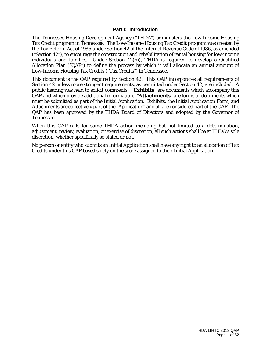#### **Part I: Introduction**

The Tennessee Housing Development Agency ("THDA") administers the Low-Income Housing Tax Credit program in Tennessee. The Low-Income Housing Tax Credit program was created by the Tax Reform Act of 1986 under Section 42 of the Internal Revenue Code of 1986, as amended ("Section 42"), to encourage the construction and rehabilitation of rental housing for low-income individuals and families. Under Section 42(m), THDA is required to develop a Qualified Allocation Plan ("QAP") to define the process by which it will allocate an annual amount of Low-Income Housing Tax Credits ("Tax Credits") in Tennessee.

This document is the QAP required by Section 42. This QAP incorporates all requirements of Section 42 unless more stringent requirements, as permitted under Section 42, are included. A public hearing was held to solicit comments. "**Exhibits**" are documents which accompany this QAP and which provide additional information. "**Attachments**" are forms or documents which must be submitted as part of the Initial Application. Exhibits, the Initial Application Form, and Attachments are collectively part of the "Application" and all are considered part of the QAP. The QAP has been approved by the THDA Board of Directors and adopted by the Governor of Tennessee.

When this QAP calls for some THDA action including but not limited to a determination, adjustment, review, evaluation, or exercise of discretion, all such actions shall be at THDA's sole discretion, whether specifically so stated or not.

No person or entity who submits an Initial Application shall have any right to an allocation of Tax Credits under this QAP based solely on the score assigned to their Initial Application.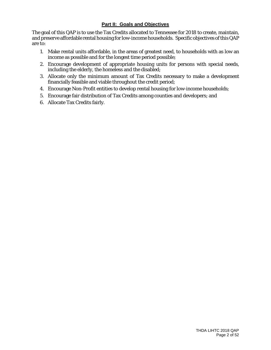#### **Part II: Goals and Objectives**

The goal of this QAP is to use the Tax Credits allocated to Tennessee for 2018 to create, maintain, and preserve affordable rental housing for low-income households. Specific objectives of this QAP are to:

- 1. Make rental units affordable, in the areas of greatest need, to households with as low an income as possible and for the longest time period possible;
- 2. Encourage development of appropriate housing units for persons with special needs, including the elderly, the homeless and the disabled;
- 3. Allocate only the minimum amount of Tax Credits necessary to make a development financially feasible and viable throughout the credit period;
- 4. Encourage Non-Profit entities to develop rental housing for low-income households;
- 5. Encourage fair distribution of Tax Credits among counties and developers; and
- 6. Allocate Tax Credits fairly.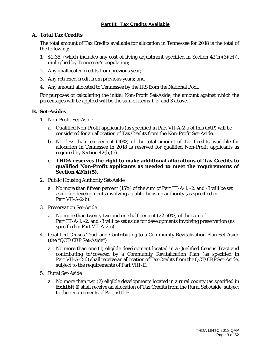#### **Part III: Tax Credits Available**

#### **A. Total Tax Credits**

The total amount of Tax Credits available for allocation in Tennessee for 2018 is the total of the following:

- 1. \$2.35, (which includes any cost of living adjustment specified in Section  $42(h)(3)(H)$ ), multiplied by Tennessee's population;
- 2. Any unallocated credits from previous year;
- 3. Any returned credit from previous years; and
- 4. Any amount allocated to Tennessee by the IRS from the National Pool.

For purposes of calculating the initial Non-Profit Set-Aside, the amount against which the percentages will be applied will be the sum of items 1, 2, and 3 above.

#### **B. Set-Asides**

- 1. Non-Profit Set-Aside
	- a. Qualified Non-Profit applicants (as specified in Part VII-A-2-a of this QAP) will be considered for an allocation of Tax Credits from the Non-Profit Set-Aside.
	- b. Not less than ten percent (10%) of the total amount of Tax Credits available for allocation in Tennessee in 2018 is reserved for qualified Non-Profit applicants as required by Section 42(h)(5).
	- c. **THDA reserves the right to make additional allocations of Tax Credits to qualified Non-Profit applicants as needed to meet the requirements of Section 42(h)(5).**
- 2. Public Housing Authority Set-Aside
	- a. No more than fifteen percent (15%) of the sum of Part III-A-1, -2, and -3 will be set aside for developments involving a public housing authority (as specified in Part VII-A-2-b).
- 3. Preservation Set-Aside
	- a. No more than twenty two and one half percent (22.50%) of the sum of Part III-A-1, -2, and -3 will be set aside for developments involving preservation (as specified in Part VII-A-2-c).
- 4. Qualified Census Tract and Contributing to a Community Revitalization Plan Set-Aside (the "QCT/CRP Set-Aside")
	- a. No more than one (1) eligible development located in a Qualified Census Tract and contributing to/covered by a Community Revitalization Plan (as specified in Part VII-A-2-d) shall receive an allocation of Tax Credits from the QCT/CRP Set-Aside, subject to the requirements of Part VIII-E.
- 5. Rural Set-Aside
	- a. No more than two (2) eligible developments located in a rural county (as specified in **Exhibit 1**) shall receive an allocation of Tax Credits from the Rural Set-Aside, subject to the requirements of Part VIII-E.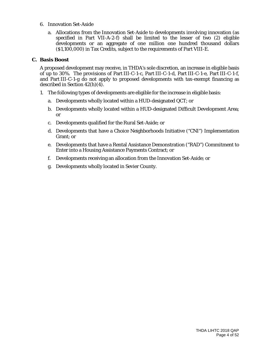- 6. Innovation Set-Aside
	- a. Allocations from the Innovation Set-Aside to developments involving innovation (as specified in Part VII-A-2-f) shall be limited to the lesser of two (2) eligible developments or an aggregate of one million one hundred thousand dollars (\$1,100,000) in Tax Credits, subject to the requirements of Part VIII-E.

#### **C. Basis Boost**

A proposed development may receive, in THDA's sole discretion, an increase in eligible basis of up to 30%. The provisions of Part III-C-1-c, Part III-C-1-d, Part III-C-1-e, Part III-C-1-f, and Part III-C-1-g do not apply to proposed developments with tax-exempt financing as described in Section 42(h)(4).

- 1. The following types of developments are eligible for the increase in eligible basis:
	- a. Developments wholly located within a HUD-designated QCT; or
	- b. Developments wholly located within a HUD-designated Difficult Development Area; or
	- c. Developments qualified for the Rural Set-Aside; or
	- d. Developments that have a Choice Neighborhoods Initiative ("CNI") Implementation Grant; or
	- e. Developments that have a Rental Assistance Demonstration ("RAD") Commitment to Enter into a Housing Assistance Payments Contract; or
	- f. Developments receiving an allocation from the Innovation Set-Aside; or
	- g. Developments wholly located in Sevier County.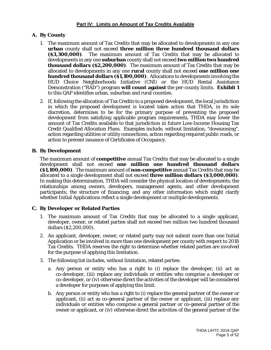#### **A. By County**

- 1. The maximum amount of Tax Credits that may be allocated to developments in any one **urban** county shall not exceed **three million three hundred thousand dollars (\$3,300,000)**. The maximum amount of Tax Credits that may be allocated to developments in any one **suburban** county shall not exceed **two million two hundred thousand dollars (\$2,200,000)**. The maximum amount of Tax Credits that may be allocated to developments in any one **rural** county shall not exceed **one million one hundred thousand dollars (\$1,100,000)**. Allocations to developments involving the HUD Choice Neighborhoods Initiative (CNI) or the HUD Rental Assistance Demonstration ("RAD") program **will count against** the per-county limits. **Exhibit 1** to this QAP identifies urban, suburban and rural counties.
- 2. If, following the allocation of Tax Credits to a proposed development, the local jurisdiction in which the proposed development is located takes action that THDA, in its sole discretion, determines to be for the primary purpose of preventing the proposed development from satisfying applicable program requirements, THDA may lower the amount of Tax Credits available to that jurisdiction in future Low-Income Housing Tax Credit Qualified Allocation Plans. Examples include, without limitation, "downzoning", action regarding utilities or utility connections, action regarding required public roads, or action to prevent issuance of Certificates of Occupancy.

#### **B. By Development**

The maximum amount of **competitive** annual Tax Credits that may be allocated to a single development shall not exceed **one million one hundred thousand dollars (\$1,100,000)**. The maximum amount of **non-competitive** annual Tax Credits that may be allocated to a single development shall not exceed **three million dollars (\$3,000,000)**. In making this determination, THDA will consider the physical location of developments; the relationships among owners, developers, management agents, and other development participants; the structure of financing; and any other information which might clarify whether Initial Applications reflect a single development or multiple developments.

#### **C. By Developer or Related Parties**

- 1. The maximum amount of Tax Credits that may be allocated to a single applicant, developer, owner, or related parties shall not exceed two million two hundred thousand dollars (\$2,200,000).
- 2. An applicant, developer, owner, or related party may not submit more than one Initial Application or be involved in more than one development per county with respect to 2018 Tax Credits. THDA reserves the right to determine whether related parties are involved for the purpose of applying this limitation.
- 3. The following list includes, without limitation, related parties:
	- a. Any person or entity who has a right to (i) replace the developer, (ii) act as co-developer, (iii) replace any individuals or entities who comprise a developer or co-developer, or (iv) otherwise direct the activities of the developer will be considered a developer for purposes of applying this limit.
	- b. Any person or entity who has a right to (i) replace the general partner of the owner or applicant, (ii) act as co-general partner of the owner or applicant, (iii) replace any individuals or entities who comprise a general partner or co-general partner of the owner or applicant, or (iv) otherwise direct the activities of the general partner of the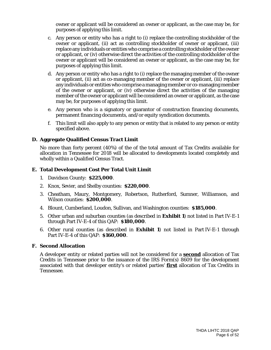owner or applicant will be considered an owner or applicant, as the case may be, for purposes of applying this limit.

- c. Any person or entity who has a right to (i) replace the controlling stockholder of the owner or applicant, (ii) act as controlling stockholder of owner or applicant, (iii) replace any individuals or entities who comprise a controlling stockholder of the owner or applicant, or (iv) otherwise direct the activities of the controlling stockholder of the owner or applicant will be considered an owner or applicant, as the case may be, for purposes of applying this limit.
- d. Any person or entity who has a right to (i) replace the managing member of the owner or applicant, (ii) act as co-managing member of the owner or applicant, (iii) replace any individuals or entities who comprise a managing member or co-managing member of the owner or applicant, or (iv) otherwise direct the activities of the managing member of the owner or applicant will be considered an owner or applicant, as the case may be, for purposes of applying this limit.
- e. Any person who is a signatory or guarantor of construction financing documents, permanent financing documents, and/or equity syndication documents.
- f. This limit will also apply to any person or entity that is related to any person or entity specified above.

#### **D. Aggregate Qualified Census Tract Limit**

No more than forty percent (40%) of the of the total amount of Tax Credits available for allocation in Tennessee for 2018 will be allocated to developments located completely and wholly within a Qualified Census Tract.

#### **E. Total Development Cost Per Total Unit Limit**

- 1. Davidson County: **\$225,000**.
- 2. Knox, Sevier, and Shelby counties: **\$220,000**.
- 3. Cheatham, Maury, Montgomery, Robertson, Rutherford, Sumner, Williamson, and Wilson counties: **\$200,000**.
- 4. Blount, Cumberland, Loudon, Sullivan, and Washington counties: **\$185,000**.
- 5. Other urban and suburban counties (as described in **Exhibit 1**) not listed in Part IV-E-1 through Part IV-E-4 of this QAP: **\$180,000**.
- 6. Other rural counties (as described in **Exhibit 1**) not listed in Part IV-E-1 through Part IV-E-4 of this QAP: **\$160,000**.

#### **F. Second Allocation**

A developer entity or related parties will not be considered for a **second** allocation of Tax Credits in Tennessee prior to the issuance of the IRS Form(s) 8609 for the development associated with that developer entity's or related parties' **first** allocation of Tax Credits in Tennessee.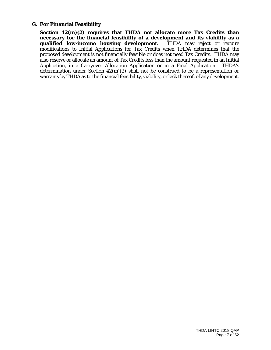#### **G. For Financial Feasibility**

**Section 42(m)(2) requires that THDA not allocate more Tax Credits than necessary for the financial feasibility of a development and its viability as a**  qualified low-income housing development. modifications to Initial Applications for Tax Credits when THDA determines that the proposed development is not financially feasible or does not need Tax Credits. THDA may also reserve or allocate an amount of Tax Credits less than the amount requested in an Initial Application, in a Carryover Allocation Application or in a Final Application. THDA's determination under Section 42(m)(2) shall not be construed to be a representation or warranty by THDA as to the financial feasibility, viability, or lack thereof, of any development.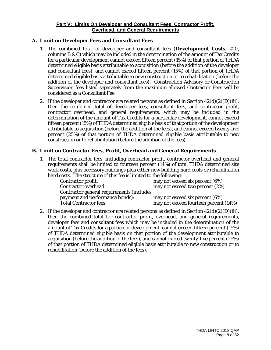#### **Part V: Limits On Developer and Consultant Fees, Contractor Profit, Overhead, and General Requirements**

#### **A. Limit on Developer Fees and Consultant Fees**

- 1. The combined total of developer and consultant fees (**Development Costs**; #10, columns B & C) which may be included in the determination of the amount of Tax Credits for a particular development cannot exceed fifteen percent (15%) of that portion of THDA determined eligible basis attributable to acquisition (before the addition of the developer and consultant fees), and cannot exceed fifteen percent (15%) of that portion of THDA determined eligible basis attributable to new construction or to rehabilitation (before the addition of the developer and consultant fees). Construction Advisory or Construction Supervision fees listed separately from the maximum allowed Contractor Fees will be considered as a Consultant Fee.
- 2. If the developer and contractor are related persons as defined in Section  $42(d)(2)(D)(iii)$ , then the combined total of developer fees, consultant fees, and contractor profit, contractor overhead, and general requirements, which may be included in the determination of the amount of Tax Credits for a particular development, cannot exceed fifteen percent (15%) of THDA determined eligible basis of that portion of the development attributable to acquisition (before the addition of the fees), and cannot exceed twenty-five percent (25%) of that portion of THDA determined eligible basis attributable to new construction or to rehabilitation (before the addition of the fees).

#### **B. Limit on Contractor Fees, Profit, Overhead and General Requirements**

1. The total contractor fees, including contractor profit, contractor overhead and general requirements shall be limited to fourteen percent (14%) of total THDA determined site work costs, plus accessory buildings plus either new building hard costs or rehabilitation hard costs. The structure of this fee is limited to the following:

| <b>Contractor profit:</b>                 | may not exceed six percent (6%)       |
|-------------------------------------------|---------------------------------------|
|                                           |                                       |
| <b>Contractor overhead:</b>               | may not exceed two percent (2%)       |
| Contractor general requirements (includes |                                       |
| payment and performance bonds):           | may not exceed six percent (6%)       |
| <b>Total Contractor fees</b>              | may not exceed fourteen percent (14%) |

2. If the developer and contractor are related persons as defined in Section  $42(d)(2)(D)(iii)$ , then the combined total for contractor profit, overhead, and general requirements, developer fees and consultant fees which may be included in the determination of the amount of Tax Credits for a particular development, cannot exceed fifteen percent (15%) of THDA determined eligible basis on that portion of the development attributable to acquisition (before the addition of the fees), and cannot exceed twenty-five percent (25%) of that portion of THDA determined eligible basis attributable to new construction or to rehabilitation (before the addition of the fees).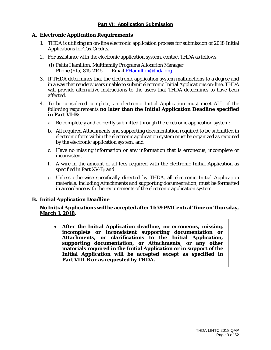#### **A. Electronic Application Requirements**

- 1. THDA is utilizing an on-line electronic application process for submission of 2018 Initial Applications for Tax Credits.
- 2. For assistance with the electronic application system, contact THDA as follows:
	- (i) Felita Hamilton, Multifamily Programs Allocation Manager<br>Phone (615) 815-2145 Email FHamilton@thda.org Email [FHamilton@thda.org](mailto:FHamilton@thda.org)
- 3. If THDA determines that the electronic application system malfunctions to a degree and in a way that renders users unable to submit electronic Initial Applications on-line, THDA will provide alternative instructions to the users that THDA determines to have been affected.
- 4. To be considered complete, an electronic Initial Application must meet ALL of the following requirements **no later than the Initial Application Deadline specified in Part VI-B**:
	- a. Be completely and correctly submitted through the electronic application system;
	- b. All required Attachments and supporting documentation required to be submitted in electronic form within the electronic application system must be organized as required by the electronic application system; and
	- c. Have no missing information or any information that is erroneous, incomplete or inconsistent.
	- f. A wire in the amount of all fees required with the electronic Initial Application as specified in Part XV-B; and
	- g. Unless otherwise specifically directed by THDA, all electronic Initial Application materials, including Attachments and supporting documentation, must be formatted in accordance with the requirements of the electronic application system.

#### **B. Initial Application Deadline**

#### **No Initial Applications will be accepted after 11:59 PM Central Time on Thursday, March 1, 2018.**

• **After the Initial Application deadline, no erroneous, missing, incomplete or inconsistent supporting documentation or Attachments, or clarifications to the Initial Application, supporting documentation, or Attachments, or any other materials required in the Initial Application or in support of the Initial Application will be accepted except as specified in Part VIII-B or as requested by THDA.**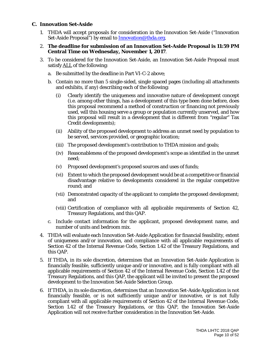#### **C. Innovation Set-Aside**

- 1. THDA will accept proposals for consideration in the Innovation Set-Aside ("Innovation Set-Aside Proposal") by email to [Innovation@thda.org.](mailto:Innovation@thda.org)
- 2. **The deadline for submission of an Innovation Set-Aside Proposal is 11:59 PM Central Time on Wednesday, November 1, 2017**.
- 3. To be considered for the Innovation Set-Aside, an Innovation Set-Aside Proposal must satisfy ALL of the following:
	- a. Be submitted by the deadline in Part VI-C-2 above;
	- b. Contain no more than 5 single-sided, single spaced pages (including all attachments and exhibits, if any) describing each of the following:
		- (i) Clearly identify the uniqueness and innovative nature of development concept (i.e. among other things, has a development of this type been done before, does this proposal recommend a method of construction or financing not previously used, will this housing serve a group or population currently unserved, and how this proposal will result in a development that is different from "regular" Tax Credit developments);
		- (ii) Ability of the proposed development to address an unmet need by population to be served, services provided, or geographic location;
		- (iii) The proposed development's contribution to THDA mission and goals;
		- (iv) Reasonableness of the proposed development's scope as identified in the unmet need;
		- (v) Proposed development's proposed sources and uses of funds;
		- (vi) Extent to which the proposed development would be at a competitive or financial disadvantage relative to developments considered in the regular competitive round; and
		- (vii) Demonstrated capacity of the applicant to complete the proposed development; and
		- (viii) Certification of compliance with all applicable requirements of Section 42, Treasury Regulations, and this QAP.
	- c. Include contact information for the applicant, proposed development name, and number of units and bedroom mix.
- 4. THDA will evaluate each Innovation Set-Aside Application for financial feasibility, extent of uniqueness and/or innovation, and compliance with all applicable requirements of Section 42 of the Internal Revenue Code, Section 1.42 of the Treasury Regulations, and this QAP.
- 5. If THDA, in its sole discretion, determines that an Innovation Set-Aside Application is financially feasible, sufficiently unique and/or innovative, and is fully compliant with all applicable requirements of Section 42 of the Internal Revenue Code, Section 1.42 of the Treasury Regulations, and this QAP, the applicant will be invited to present the proposed development to the Innovation Set-Aside Selection Group.
- 6. If THDA, in its sole discretion, determines that an Innovation Set-Aside Application is not financially feasible, or is not sufficiently unique and/or innovative, or is not fully compliant with all applicable requirements of Section 42 of the Internal Revenue Code, Section 1.42 of the Treasury Regulations, or this QAP, the Innovation Set-Aside Application will not receive further consideration in the Innovation Set-Aside.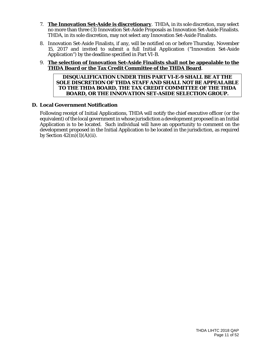- 7. **The Innovation Set-Aside is discretionary**. THDA, in its sole discretion, may select no more than three (3) Innovation Set-Aside Proposals as Innovation Set-Aside Finalists. THDA, in its sole discretion, may not select any Innovation Set-Aside Finalists.
- 8. Innovation Set-Aside Finalists, if any, will be notified on or before Thursday, November 15, 2017 and invited to submit a full Initial Application ("Innovation Set-Aside Application") by the deadline specified in Part VI-B.
- 9. **The selection of Innovation Set-Aside Finalists shall not be appealable to the THDA Board or the Tax Credit Committee of the THDA Board**.

**DISQUALIFICATION UNDER THIS PART VI-E-9 SHALL BE AT THE SOLE DISCRETION OF THDA STAFF AND SHALL NOT BE APPEALABLE TO THE THDA BOARD, THE TAX CREDIT COMMITTEE OF THE THDA BOARD, OR THE INNOVATION SET-ASIDE SELECTION GROUP.**

#### **D. Local Government Notification**

Following receipt of Initial Applications, THDA will notify the chief executive officer (or the equivalent) of the local government in whose jurisdiction a development proposed in an Initial Application is to be located. Such individual will have an opportunity to comment on the development proposed in the Initial Application to be located in the jurisdiction, as required by Section  $42(m)(1)(A)(ii)$ .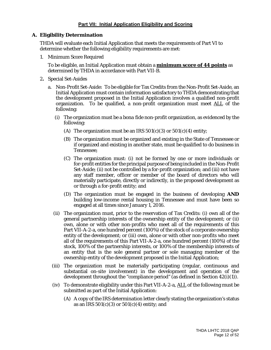#### **Part VII: Initial Application Eligibility and Scoring**

#### **A. Eligibility Determination**

THDA will evaluate each Initial Application that meets the requirements of Part VI to determine whether the following eligibility requirements are met:

1. Minimum Score Required

To be eligible, an Initial Application must obtain a **minimum score of 44 points** as determined by THDA in accordance with Part VII-B.

- 2**.** Special Set-Asides
	- a. Non-Profit Set-Aside: To be eligible for Tax Credits from the Non-Profit Set-Aside, an Initial Application must contain information satisfactory to THDA demonstrating that the development proposed in the Initial Application involves a qualified non-profit organization. To be qualified, a non-profit organization must meet ALL of the following:
		- (i) The organization must be a *bona fide* non-profit organization, as evidenced by the following:
			- (A) The organization must be an IRS  $501(c)(3)$  or  $501(c)(4)$  entity;
			- (B) The organization must be organized and existing in the State of Tennessee or if organized and existing in another state, must be qualified to do business in Tennessee;
			- (C) The organization must: (i) not be formed by one or more individuals or for-profit entities for the principal purpose of being included in the Non-Profit Set-Aside; (ii) not be controlled by a for-profit organization; and (iii) not have any staff member, officer or member of the board of directors who will materially participate, directly or indirectly, in the proposed development as or through a for-profit entity; and
			- (D) The organization must be engaged in the business of developing **AND** building low-income rental housing in Tennessee and must have been so engaged at all times since January 1, 2016.
		- (ii) The organization must, prior to the reservation of Tax Credits: (i) own all of the general partnership interests of the ownership entity of the development; or (ii) own, alone or with other non-profits who meet all of the requirements of this Part VII-A-2-a, one hundred percent (100%) of the stock of a corporate ownership entity of the development; or (iii) own, alone or with other non-profits who meet all of the requirements of this Part VII-A-2-a, one hundred percent (100%) of the stock, 100% of the partnership interests, or 100% of the membership interests of an entity that is the sole general partner or sole managing member of the ownership entity of the development proposed in the Initial Application;
		- (iii) The organization must be materially participating (regular, continuous and substantial on-site involvement) in the development and operation of the development throughout the "compliance period" (as defined in Section 42(i)(1)).
		- (iv) To demonstrate eligibility under this Part VII-A-2-a, ALL of the following must be submitted as part of the Initial Application:
			- (A) A copy of the IRS determination letter clearly stating the organization's status as an IRS  $501(c)(3)$  or  $501(c)(4)$  entity; and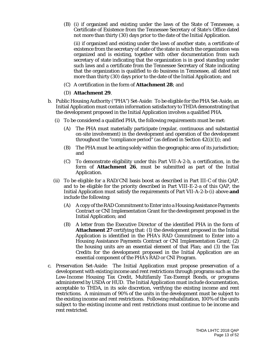(B) (i) if organized and existing under the laws of the State of Tennessee, a Certificate of Existence from the Tennessee Secretary of State's Office dated not more than thirty (30) days prior to the date of the Initial Application.

(ii) if organized and existing under the laws of another state, a certificate of existence from the secretary of state of the state in which the organization was organized and is existing, together with other documentation from such secretary of state indicating that the organization is in good standing under such laws and a certificate from the Tennessee Secretary of State indicating that the organization is qualified to do business in Tennessee, all dated not more than thirty (30) days prior to the date of the Initial Application; and

(C) A certification in the form of **Attachment 28**; and

#### (D) **Attachment 29**.

- b. Public Housing Authority ("PHA") Set-Aside: To be eligible for the PHA Set-Aside, an Initial Application must contain information satisfactory to THDA demonstrating that the development proposed in the Initial Application involves a qualified PHA.
	- (i) To be considered a qualified PHA, the following requirements must be met:
		- (A) The PHA must materially participate (regular, continuous and substantial on-site involvement) in the development and operation of the development throughout the "compliance period" (as defined in Section  $42(i)(1)$ ); and
		- (B) The PHA must be acting solely within the geographic area of its jurisdiction; and
		- (C) To demonstrate eligibility under this Part VII-A-2-b, a certification, in the form of **Attachment 26**, must be submitted as part of the Initial Application.
	- (ii) To be eligible for a RAD/CNI basis boost as described in Part III-C of this QAP, and to be eligible for the priority described in Part VIII-E-2-a of this QAP, the Initial Application must satisfy the requirements of Part VII-A-2-b-(i) above **and** include the following:
		- (A) A copy of the RAD Commitment to Enter into a Housing Assistance Payments Contract or CNI Implementation Grant for the development proposed in the Initial Application; and
		- (B) A letter from the Executive Director of the identified PHA in the form of **Attachment 27** certifying that: (1) the development proposed in the Initial Application is identified in the PHA's RAD Commitment to Enter into a Housing Assistance Payments Contract or CNI Implementation Grant; (2) the housing units are an essential element of that Plan; and (3) the Tax Credits for the development proposed in the Initial Application are an essential component of the PHA's RAD or CNI Program.
- c. Preservation Set-Aside: The Initial Application must propose preservation of a development with existing income and rent restrictions through programs such as the Low-Income Housing Tax Credit, Multifamily Tax-Exempt Bonds, or programs administered by USDA or HUD. The Initial Application must include documentation, acceptable to THDA, in its sole discretion, verifying the existing income and rent restrictions. A minimum of 90% of the units in the development must be subject to the existing income and rent restrictions. Following rehabilitation, 100% of the units subject to the existing income and rent restrictions must continue to be income and rent restricted.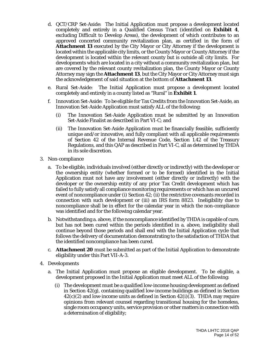- d. QCT/CRP Set-Aside: The Initial Application must propose a development located completely and entirely in a Qualified Census Tract (identified on **Exhibit 4**, excluding Difficult to Develop Areas), the development of which contributes to an approved concerted community revitalization plan, as certified in the form of **Attachment 13** executed by the City Mayor or City Attorney if the development is located within the applicable city limits, or the County Mayor or County Attorney if the development is located within the relevant county but is outside all city limits. For developments which are located in a city without a community revitalization plan, but are covered by the relevant county revitalization plan, the County Mayor or County Attorney may sign the **Attachment 13**, but the City Mayor or City Attorney must sign the acknowledgement of said situation at the bottom of **Attachment 13**.
- e. Rural Set-Aside: The Initial Application must propose a development located completely and entirely in a county listed as "Rural" in **Exhibit 1**.
- f. Innovation Set-Aside: To be eligible for Tax Credits from the Innovation Set-Aside, an Innovation Set-Aside Application must satisfy ALL of the following:
	- (i) The Innovation Set-Aside Application must be submitted by an Innovation Set-Aside Finalist as described in Part VI-C; and
	- (ii) The Innovation Set-Aside Application must be financially feasible, sufficiently unique and/or innovative, and fully compliant with all applicable requirements of Section 42 of the Internal Revenue Code, Section 1.42 of the Treasury Regulations, and this QAP as described in Part VI-C, all as determined by THDA in its sole discretion.
- 3. Non-compliance
	- a. To be eligible, individuals involved (either directly or indirectly) with the developer or the ownership entity (whether formed or to be formed) identified in the Initial Application must not have any involvement (either directly or indirectly) with the developer or the ownership entity of any prior Tax Credit development which has failed to fully satisfy all compliance monitoring requirements or which has an uncured event of noncompliance under (i) Section 42; (ii) the restrictive covenants recorded in connection with such development or (iii) an IRS form 8823. Ineligibility due to noncompliance shall be in effect for the calendar year in which the non-compliance was identified and for the following calendar year.
	- b. Notwithstanding a. above, if the noncompliance identified by THDA is capable of cure, but has not been cured within the periods identified in a. above, ineligibility shall continue beyond those periods and shall end with the Initial Application cycle that follows the delivery of documentation demonstrating to the satisfaction of THDA that the identified noncompliance has been cured.
	- c. **Attachment 20** must be submitted as part of the Initial Application to demonstrate eligibility under this Part VII-A-3.
- 4. Developments
	- a. The Initial Application must propose an eligible development. To be eligible, a development proposed in the Initial Application must meet ALL of the following:
		- (i) The development must be a qualified low-income housing development as defined in Section 42(g), containing qualified low-income buildings as defined in Section  $42(c)(2)$  and low-income units as defined in Section  $42(i)(3)$ . THDA may require opinions from relevant counsel regarding transitional housing for the homeless, single room occupancy units, service provision or other matters in connection with a determination of eligibility;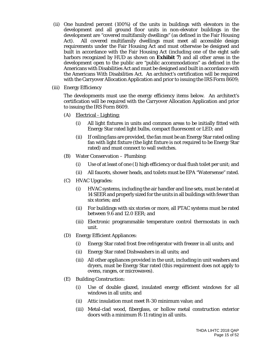- (ii) One hundred percent (100%) of the units in buildings with elevators in the development and all ground floor units in non-elevator buildings in the development are "covered multifamily dwellings" (as defined in the Fair Housing Act). All covered multifamily dwellings must meet all accessible design requirements under the Fair Housing Act and must otherwise be designed and built in accordance with the Fair Housing Act (including one of the eight safe harbors recognized by HUD as shown on **Exhibit 7**) and all other areas in the development open to the public are "public accommodations" as defined in the Americans with Disabilities Act and must be designed and built in accordance with the Americans With Disabilities Act. An architect's certification will be required with the Carryover Allocation Application and prior to issuing the IRS Form 8609;
- (iii) Energy Efficiency

The developments must use the energy efficiency items below. An architect's certification will be required with the Carryover Allocation Application and prior to issuing the IRS Form 8609.

- (A) Electrical Lighting:
	- (i) All light fixtures in units and common areas to be initially fitted with Energy Star rated light bulbs, compact fluorescent or LED; and
	- (ii) If ceiling fans are provided, the fan must be an Energy Star rated ceiling fan with light fixture (the light fixture is not required to be Energy Star rated) and must connect to wall switches.
- (B) Water Conservation Plumbing:
	- (i) Use of at least of one (1) high efficiency or dual flush toilet per unit; and
	- (ii) All faucets, shower heads, and toilets must be EPA "Watersense" rated.
- (C) HVAC Upgrades:
	- (i) HVAC systems, including the air handler and line sets, must be rated at 14 SEER and properly sized for the units in all buildings with fewer than six stories; and
	- (ii) For buildings with six stories or more, all PTAC systems must be rated between 9.6 and 12.0 EER; and
	- (iii) Electronic programmable temperature control thermostats in each unit.
- (D) Energy Efficient Appliances:
	- (i) Energy Star rated frost free refrigerator with freezer in all units; and
	- (ii) Energy Star rated Dishwashers in all units; and
	- (iii) All other appliances provided in the unit, including in unit washers and dryers, must be Energy Star rated (this requirement does not apply to ovens, ranges, or microwaves).
- (E) Building Construction:
	- (i) Use of double glazed, insulated energy efficient windows for all windows in all units; and
	- (ii) Attic insulation must meet R-30 minimum value; and
	- (iii) Metal-clad wood, fiberglass, or hollow metal construction exterior doors with a minimum R-11 rating in all units.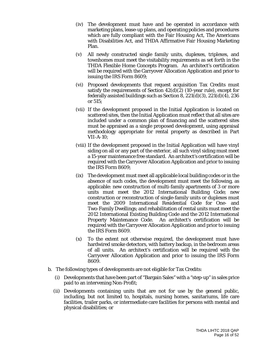- (iv) The development must have and be operated in accordance with marketing plans, lease-up plans, and operating policies and procedures which are fully compliant with the Fair Housing Act, The Americans with Disabilities Act, and THDA Affirmative Fair Housing Marketing Plan.
- (v) All newly constructed single family units, duplexes, triplexes, and townhomes must meet the visitability requirements as set forth in the THDA Flexible Home Concepts Program. An architect's certification will be required with the Carryover Allocation Application and prior to issuing the IRS Form 8609;
- (vi) Proposed developments that request acquisition Tax Credits must satisfy the requirements of Section  $42(d)(2)(10)$ -year rule), except for federally assisted buildings such as Section 8, 221(d)(3), 221(d)(4), 236 or 515;
- (vii) If the development proposed in the Initial Application is located on scattered sites, then the Initial Application must reflect that all sites are included under a common plan of financing and the scattered sites must be appraised as a single proposed development, using appraisal methodology appropriate for rental property as described in Part VII-A-10;
- (viii) If the development proposed in the Initial Application will have vinyl siding on all or any part of the exterior, all such vinyl siding must meet a 15-year maintenance free standard. An architect's certification will be required with the Carryover Allocation Application and prior to issuing the IRS Form 8609;
- (ix) The development must meet all applicable local building codes or in the absence of such codes, the development must meet the following, as applicable: new construction of multi-family apartments of 3 or more units must meet the 2012 International Building Code; new construction or reconstruction of single-family units or duplexes must meet the 2009 International Residential Code for One- and Two-Family Dwellings; and rehabilitation of rental units must meet the 2012 International Existing Building Code and the 2012 International Property Maintenance Code. An architect's certification will be required with the Carryover Allocation Application and prior to issuing the IRS Form 8609.
- (x) To the extent not otherwise required, the development must have hardwired smoke detectors, with battery backup, in the bedroom areas of all units. An architect's certification will be required with the Carryover Allocation Application and prior to issuing the IRS Form 8609.
- b. The following types of developments are not eligible for Tax Credits:
	- (i) Developments that have been part of "Bargain Sales" with a "step-up" in sales price paid to an intervening Non-Profit;
	- (ii) Developments containing units that are not for use by the general public, including, but not limited to, hospitals, nursing homes, sanitariums, life care facilities, trailer parks, or intermediate care facilities for persons with mental and physical disabilities; or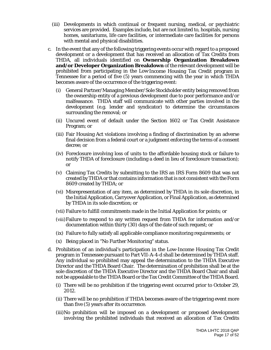- (iii) Developments in which continual or frequent nursing, medical, or psychiatric services are provided. Examples include, but are not limited to, hospitals, nursing homes, sanitariums, life care facilities, or intermediate care facilities for persons with mental and physical disabilities.
- c. In the event that any of the following triggering events occur with regard to a proposed development or a development that has received an allocation of Tax Credits from THDA, all individuals identified on **Ownership Organization Breakdown and/or Developer Organization Breakdown** of the relevant development will be prohibited from participating in the Low-Income Housing Tax Credit program in Tennessee for a period of five (5) years commencing with the year in which THDA becomes aware of the occurrence of the triggering event:
	- (i) General Partner/Managing Member/Sole Stockholder entity being removed from the ownership entity of a previous development due to poor performance and/or malfeasance. THDA staff will communicate with other parties involved in the development (e.g. lender and syndicator) to determine the circumstances surrounding the removal; or
	- (ii) Uncured event of default under the Section 1602 or Tax Credit Assistance Program; or
	- (iii) Fair Housing Act violations involving a finding of discrimination by an adverse final decision from a federal court or a judgment enforcing the terms of a consent decree; or
	- (iv) Foreclosure involving loss of units to the affordable housing stock or failure to notify THDA of foreclosure (including a deed in lieu of foreclosure transaction); or
	- (v) Claiming Tax Credits by submitting to the IRS an IRS Form 8609 that was not created by THDA or that contains information that is not consistent with the Form 8609 created by THDA; or
	- (vi) Misrepresentation of any item, as determined by THDA in its sole discretion, in the Initial Application, Carryover Application, or Final Application, as determined by THDA in its sole discretion; or
	- (vii) Failure to fulfill commitments made in the Initial Application for points; or
	- (viii)Failure to respond to any written request from THDA for information and/or documentation within thirty (30) days of the date of such request; or
	- (ix) Failure to fully satisfy all applicable compliance monitoring requirements; or
	- (x) Being placed in "No Further Monitoring" status.
- d. Prohibition of an individual's participation in the Low-Income Housing Tax Credit program in Tennessee pursuant to Part VII-A-4-d shall be determined by THDA staff. Any individual so prohibited may appeal the determination to the THDA Executive Director and the THDA Board Chair. The determination of prohibition shall be at the sole discretion of the THDA Executive Director and the THDA Board Chair and shall not be appealable to the THDA Board or the Tax Credit Committee of the THDA Board.
	- (i) There will be no prohibition if the triggering event occurred prior to October 29, 2012.
	- (ii) There will be no prohibition if THDA becomes aware of the triggering event more than five (5) years after its occurrence.
	- (iii)No prohibition will be imposed on a development or proposed development involving the prohibited individuals that received an allocation of Tax Credits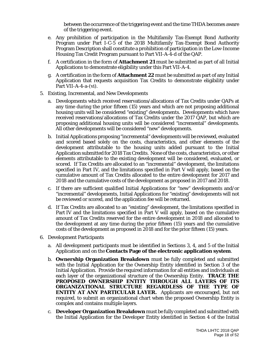between the occurrence of the triggering event and the time THDA becomes aware of the triggering event.

- e. Any prohibition of participation in the Multifamily Tax-Exempt Bond Authority Program under Part I-C-5 of the 2018 Multifamily Tax-Exempt Bond Authority Program Description shall constitute a prohibition of participation in the Low-Income Housing Tax Credit Program pursuant to Part VII-A-4-d of the QAP.
- f. A certification in the form of **Attachment 21** must be submitted as part of all Initial Applications to demonstrate eligibility under this Part VII-A-4.
- g. A certification in the form of **Attachment 22** must be submitted as part of any Initial Application that requests acquisition Tax Credits to demonstrate eligibility under Part VII-A-4-a-(vi).
- 5. Existing, Incremental, and New Developments
	- a. Developments which received reservations/allocations of Tax Credits under QAPs at any time during the prior fifteen (15) years and which are not proposing additional housing units will be considered "existing" developments. Developments which have received reservations/allocations of Tax Credits under the 2017 QAP, but which are proposing additional housing units will be considered "incremental" developments. All other developments will be considered "new" developments.
	- b. Initial Applications proposing "incremental" developments will be reviewed, evaluated and scored based solely on the costs, characteristics, and other elements of the development attributable to the housing units added pursuant to the Initial Application submitted for 2018 Tax Credits. None of the costs, characteristics, or other elements attributable to the existing development will be considered, evaluated, or scored. If Tax Credits are allocated to an "incremental" development, the limitations specified in Part IV, and the limitations specified in Part V will apply, based on the cumulative amount of Tax Credits allocated to the entire development for 2017 and 2018 and the cumulative costs of the development as proposed in 2017 and 2018.
	- c. If there are sufficient qualified Initial Applications for "new" developments and/or "incremental" developments, Initial Applications for "existing" developments will not be reviewed or scored, and the application fee will be returned.
	- d. If Tax Credits are allocated to an "existing" development, the limitations specified in Part IV and the limitations specified in Part V will apply, based on the cumulative amount of Tax Credits reserved for the entire development in 2018 and allocated to the development at any time during the prior fifteen (15) years and the cumulative costs of the development as proposed in 2018 and for the prior fifteen (15) years.
- 6. Development Participants
	- a. All development participants must be identified in Sections 3, 4, and 5 of the Initial Application and on the **Contacts Page of the electronic application system**.
	- b. **Ownership Organization Breakdown** must be fully completed and submitted with the Initial Application for the Ownership Entity identified in Section 3 of the Initial Application. Provide the required information for all entities and individuals at each layer of the organizational structure of the Ownership Entity. **TRACE THE PROPOSED OWNERSHIP ENTITY THROUGH ALL LAYERS OF ITS ORGANIZATIONAL STRUCTURE REGARDLESS OF THE TYPE OF ENTITY AT ANY PARTICULAR LAYER.** Applicants are encouraged, but not required, to submit an organizational chart when the proposed Ownership Entity is complex and contains multiple layers.
	- c. **Developer Organization Breakdown** must be fully completed and submitted with the Initial Application for the Developer Entity identified in Section 4 of the Initial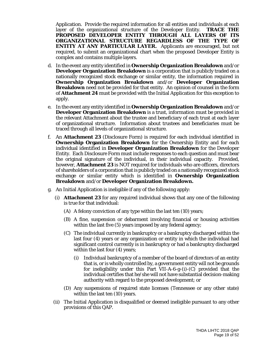Application. Provide the required information for all entities and individuals at each layer of the organizational structure of the Developer Entity. **TRACE THE PROPOSED DEVELOPER ENTITY THROUGH ALL LAYERS OF ITS ORGANIZATIONAL STRUCTURE REGARDLESS OF THE TYPE OF ENTITY AT ANY PARTICULAR LAYER.** Applicants are encouraged, but not required, to submit an organizational chart when the proposed Developer Entity is complex and contains multiple layers.

- d. In the event any entity identified in **Ownership Organization Breakdown** and/or **Developer Organization Breakdown** is a corporation that is publicly traded on a nationally recognized stock exchange or similar entity, the information required in **Ownership Organization Breakdown** and/or **Developer Organization Breakdown** need not be provided for that entity. An opinion of counsel in the form of **Attachment 24** must be provided with the Initial Application for this exception to apply.
- e. In the event any entity identified in **Ownership Organization Breakdown** and/or **Developer Organization Breakdown** is a trust, information must be provided in the relevant Attachment about the trustee and beneficiary of each trust at each layer of organizational structure. Information about trustees and beneficiaries must be traced through all levels of organizational structure.
- f. An **Attachment 23** (Disclosure Form) is required for each individual identified in **Ownership Organization Breakdown** for the Ownership Entity and for each individual identified in **Developer Organization Breakdown** for the Developer Entity. Each Disclosure Form must include responses to each question and must bear the original signature of the individual, in their individual capacity. Provided, however, **Attachment 23** is NOT required for individuals who are officers, directors of shareholders of a corporation that is publicly traded on a nationally recognized stock exchange or similar entity which is identified in **Ownership Organization Breakdown** and/or **Developer Organization Breakdown.**
- g. An Initial Application is ineligible if any of the following apply:
	- (i) **Attachment 23** for any required individual shows that any one of the following is true for that individual:
		- (A) A felony conviction of any type within the last ten (10) years;
		- (B) A fine, suspension or debarment involving financial or housing activities within the last five (5) years imposed by any federal agency;
		- (C) The individual currently in bankruptcy or a bankruptcy discharged within the last four (4) years or any organization or entity in which the individual had significant control currently is in bankruptcy or had a bankruptcy discharged within the last four (4) years;
			- (i) Individual bankruptcy of a member of the board of directors of an entity that is, or is wholly controlled by, a government entity will not be grounds for ineligibility under this Part VII-A-6-g-(i)-(C) provided that the individual certifies that he/she will not have substantial decision-making authority with regard to the proposed development; or
		- (D) Any suspensions of required state licenses (Tennessee or any other state) within the last ten (10) years.
	- (ii) The Initial Application is disqualified or deemed ineligible pursuant to any other provisions of this QAP.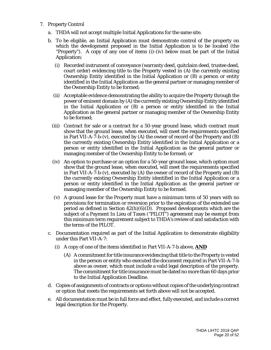- 7. Property Control
	- a. THDA will not accept multiple Initial Applications for the same site.
	- b. To be eligible, an Initial Application must demonstrate control of the property on which the development proposed in the Initial Application is to be located (the "Property"). A copy of any one of items (i)-(iv) below must be part of the Initial Application:
		- (i) Recorded instrument of conveyance (warranty deed, quitclaim deed, trustee deed, court order) evidencing title to the Property vested in (A) the currently existing Ownership Entity identified in the Initial Application or (B) a person or entity identified in the Initial Application as the general partner or managing member of the Ownership Entity to be formed;
		- (ii) Acceptable evidence demonstrating the ability to acquire the Property through the power of eminent domain by (A) the currently existing Ownership Entity identified in the Initial Application or (B) a person or entity identified in the Initial Application as the general partner or managing member of the Ownership Entity to be formed;
		- (iii) Contract for sale or a contract for a 50-year ground lease, which contract must show that the ground lease, when executed, will meet the requirements specified in Part VII-A-7-b-(v), executed by (A) the owner of record of the Property and (B) the currently existing Ownership Entity identified in the Initial Application or a person or entity identified in the Initial Application as the general partner or managing member of the Ownership Entity to be formed; or
		- (iv) An option to purchase or an option for a 50-year ground lease, which option must show that the ground lease, when executed, will meet the requirements specified in Part VII-A-7-b-(v), executed by (A) the owner of record of the Property and (B) the currently existing Ownership Entity identified in the Initial Application or a person or entity identified in the Initial Application as the general partner or managing member of the Ownership Entity to be formed.
		- (v) A ground lease for the Property must have a minimum term of 50 years with no provisions for termination or reversion prior to the expiration of the extended use period as defined in Section  $42(h)(6)(D)$ . Proposed developments which are the subject of a Payment In Lieu of Taxes ("PILOT") agreement may be exempt from this minimum term requirement subject to THDA's review of and satisfaction with the terms of the PILOT.
	- c. Documentation required as part of the Initial Application to demonstrate eligibility under this Part VII-A-7:
		- (i) A copy of one of the items identified in Part VII-A-7-b above, **AND**
			- (A) A commitment for title insurance evidencing that title to the Property is vested in the person or entity who executed the document required in Part VII-A-7-b above as owner, which must include a valid legal description of the property. The commitment for title insurance must be dated no more than 60 days prior to the Initial Application Deadline.
	- d. Copies of assignments of contracts or options without copies of the underlying contract or option that meets the requirements set forth above will not be accepted.
	- e. All documentation must be in full force and effect, fully executed, and include a correct legal description for the Property.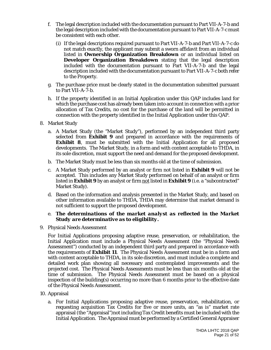- f. The legal description included with the documentation pursuant to Part VII-A-7-b and the legal description included with the documentation pursuant to Part VII-A-7-c must be consistent with each other.
	- (i) If the legal descriptions required pursuant to Part VII-A-7-b and Part VII-A-7-c do not match exactly, the applicant may submit a sworn affidavit from an individual listed in **Ownership Organization Breakdown** or an individual listed on **Developer Organization Breakdown** stating that the legal description included with the documentation pursuant to Part VII-A-7-b and the legal description included with the documentation pursuant to Part VII-A-7-c both refer to the Property.
- g. The purchase price must be clearly stated in the documentation submitted pursuant to Part VII-A-7-b.
- h. If the property identified in an Initial Application under this QAP includes land for which the purchase cost has already been taken into account in connection with a prior allocation of Tax Credits, no cost for the purchase of the land will be permitted in connection with the property identified in the Initial Application under this QAP.
- 8. Market Study
	- a. A Market Study (the "Market Study"), performed by an independent third party selected from **Exhibit 9** and prepared in accordance with the requirements of **Exhibit 8**, must be submitted with the Initial Application for all proposed developments. The Market Study, in a form and with content acceptable to THDA, in its sole discretion, must support the need and demand for the proposed development.
	- b. The Market Study must be less than six months old at the time of submission.
	- c. A Market Study performed by an analyst or firm not listed in **Exhibit 9** will not be accepted. This includes any Market Study performed on behalf of an analyst or firm listed in **Exhibit 9** by an analyst or firm not listed in **Exhibit 9** (i.e. a "subcontracted" Market Study).
	- d. Based on the information and analysis presented in the Market Study, and based on other information available to THDA, THDA may determine that market demand is not sufficient to support the proposed development.
	- e. *The determinations of the market analyst as reflected in the Market Study are determinative as to eligibility.*
- 9. Physical Needs Assessment

For Initial Applications proposing adaptive reuse, preservation, or rehabilitation, the Initial Application must include a Physical Needs Assessment (the "Physical Needs Assessment") conducted by an independent third party and prepared in accordance with the requirements of **Exhibit 11**. The Physical Needs Assessment must be in a form and with content acceptable to THDA, in its sole discretion, and must include a complete and detailed work plan showing all necessary and contemplated improvements and the projected cost. The Physical Needs Assessments must be less than six months old at the time of submission. The Physical Needs Assessment must be based on a physical inspection of the building(s) occurring no more than 6 months prior to the effective date of the Physical Needs Assessment.

- 10. Appraisal
	- a. For Initial Applications proposing adaptive reuse, preservation, rehabilitation, or requesting acquisition Tax Credits for five or more units, an "as is" market rate appraisal (the "Appraisal")not including Tax Credit benefits must be included with the Initial Application. The Appraisal must be performed by a Certified General Appraiser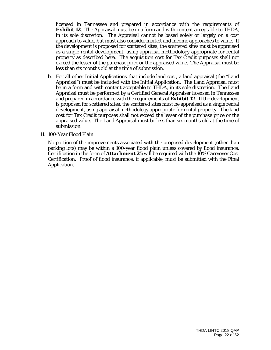licensed in Tennessee and prepared in accordance with the requirements of **Exhibit 12**. The Appraisal must be in a form and with content acceptable to THDA, in its sole discretion. The Appraisal cannot be based solely or largely on a cost approach to value, but must also consider market and income approaches to value. If the development is proposed for scattered sites, the scattered sites must be appraised as a single rental development, using appraisal methodology appropriate for rental property as described here. The acquisition cost for Tax Credit purposes shall not exceed the lesser of the purchase price or the appraised value. The Appraisal must be less than six months old at the time of submission.

b. For all other Initial Applications that include land cost, a land appraisal (the "Land Appraisal") must be included with the Initial Application. The Land Appraisal must be in a form and with content acceptable to THDA, in its sole discretion. The Land Appraisal must be performed by a Certified General Appraiser licensed in Tennessee and prepared in accordance with the requirements of **Exhibit 12**. If the development is proposed for scattered sites, the scattered sites must be appraised as a single rental development, using appraisal methodology appropriate for rental property. The land cost for Tax Credit purposes shall not exceed the lesser of the purchase price or the appraised value. The Land Appraisal must be less than six months old at the time of submission.

#### 11. 100-Year Flood Plain

No portion of the improvements associated with the proposed development (other than parking lots) may be within a 100-year flood plain unless covered by flood insurance. Certification in the form of **Attachment 25** will be required with the 10% Carryover Cost Certification. Proof of flood insurance, if applicable, must be submitted with the Final Application.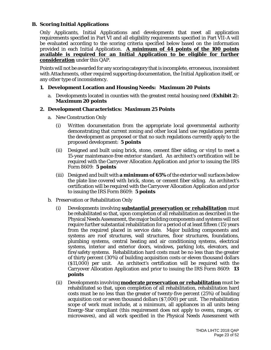#### **B. Scoring Initial Applications**

Only Applicants, Initial Applications and developments that meet all application requirements specified in Part VI and all eligibility requirements specified in Part VII-A will be evaluated according to the scoring criteria specified below based on the information provided in each Initial Application. **A minimum of 44 points of the 100 points available is required for an Initial Application to be eligible for further consideration** under this QAP.

Points will not be awarded for any scoring category that is incomplete, erroneous, inconsistent with Attachments, other required supporting documentation, the Initial Application itself, or any other type of inconsistency.

#### **1. Development Location and Housing Needs: Maximum 20 Points**

a. Developments located in counties with the greatest rental housing need (**Exhibit 2**): *Maximum 20 points*

#### **2. Development Characteristics: Maximum 25 Points**

- a. New Construction Only
	- (i) Written documentation from the appropriate local governmental authority demonstrating that current zoning and other local land use regulations permit the development as proposed or that no such regulations currently apply to the proposed development: *5 points*
	- (ii) Designed and built using brick, stone, cement fiber siding, or vinyl to meet a 15-year maintenance-free exterior standard. An architect's certification will be required with the Carryover Allocation Application and prior to issuing the IRS Form 8609: *5 points*
	- (iii) Designed and built with **a minimum of 65%** of the exterior wall surfaces below the plate line covered with brick, stone, or cement fiber siding. An architect's certification will be required with the Carryover Allocation Application and prior to issuing the IRS Form 8609: *5 points*
- b. Preservation or Rehabilitation Only
	- (i) Developments involving **substantial preservation or rehabilitation** must be rehabilitated so that, upon completion of all rehabilitation as described in the Physical Needs Assessment, the major building components and systems will not require further substantial rehabilitation for a period of at least fifteen (15) years from the required placed in service date. Major building components and systems are roof structures, wall structures, floor structures, foundations, plumbing systems, central heating and air conditioning systems, electrical systems, interior and exterior doors, windows, parking lots, elevators, and fire/safety systems. Rehabilitation hard costs must be no less than the greater of thirty percent (30%) of building acquisition costs or eleven thousand dollars (\$11,000) per unit. An architect's certification will be required with the Carryover Allocation Application and prior to issuing the IRS Form 8609: **13 points**
	- (ii) Developments involving **moderate preservation or rehabilitation** must be rehabilitated so that, upon completion of all rehabilitation, rehabilitation hard costs must be no less than the greater of twenty-five percent (25%) of building acquisition cost or seven thousand dollars (\$7,000) per unit. The rehabilitation scope of work must include, at a minimum, all appliances in all units being Energy-Star compliant (this requirement does not apply to ovens, ranges, or microwaves), and all work specified in the Physical Needs Assessment with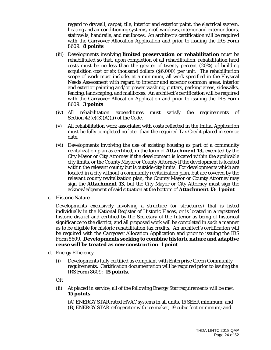regard to drywall, carpet, tile, interior and exterior paint, the electrical system, heating and air conditioning systems, roof, windows, interior and exterior doors, stairwells, handrails, and mailboxes. An architect's certification will be required with the Carryover Allocation Application and prior to issuing the IRS Form 8609: **8 points**

- (iii) Developments involving **limited preservation or rehabilitation** must be rehabilitated so that, upon completion of all rehabilitation, rehabilitation hard costs must be no less than the greater of twenty percent (20%) of building acquisition cost or six thousand dollars (\$6,000) per unit. The rehabilitation scope of work must include, at a minimum, all work specified in the Physical Needs Assessment with regard to interior and exterior common areas, interior and exterior painting and/or power washing, gutters, parking areas, sidewalks, fencing, landscaping, and mailboxes. An architect's certification will be required with the Carryover Allocation Application and prior to issuing the IRS Form 8609: **3 points**
- (iv) All rehabilitation expenditures must satisfy the requirements of Section  $42(e)(3)(A)(ii)$  of the Code.
- (v) All rehabilitation work associated with costs reflected in the Initial Application must be fully completed no later than the required Tax Credit placed in service date.
- (vi) Developments involving the use of existing housing as part of a community revitalization plan as certified, in the form of **Attachment 13,** executed by the City Mayor or City Attorney if the development is located within the applicable city limits, or the County Mayor or County Attorney if the development is located within the relevant county but is outside city limits. For developments which are located in a city without a community revitalization plan, but are covered by the relevant county revitalization plan, the County Mayor or County Attorney may sign the **Attachment 13**, but the City Mayor or City Attorney must sign the acknowledgement of said situation at the bottom of **Attachment 13**: *1 point*
- c. Historic Nature

Developments exclusively involving a structure (or structures) that is listed individually in the National Register of Historic Places, or is located in a registered historic district and certified by the Secretary of the Interior as being of historical significance to the district, and all proposed work will be completed in such a manner as to be eligible for historic rehabilitation tax credits. An architect's certification will be required with the Carryover Allocation Application and prior to issuing the IRS Form 8609. **Developments seeking to combine historic nature and adaptive reuse will be treated as new construction**: *1 point*

- d. Energy Efficiency
	- (i) Developments fully certified as compliant with Enterprise Green Community requirements. Certification documentation will be required prior to issuing the IRS Form 8609: *15 points*.
	- OR
	- (ii) At placed in service, all of the following Energy Star requirements will be met: *15 points*

(A) ENERGY STAR rated HVAC systems in all units, 15 SEER minimum; and (B) ENERGY STAR refrigerator with ice maker, 19 cubic foot minimum; and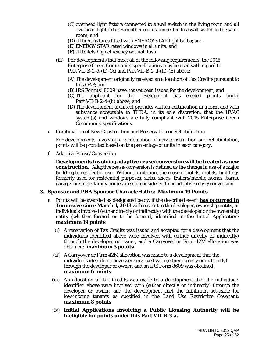- (C) overhead light fixture connected to a wall switch in the living room and all overhead light fixtures in other rooms connected to a wall switch in the same room; and
- (D) all light fixtures fitted with ENERGY STAR light bulbs; and
- (E) ENERGY STAR rated windows in all units; and
- (F) all toilets high efficiency or dual flush.
- (iii) For developments that meet all of the following requirements, the 2015 Enterprise Green Community specifications may be used with regard to Part VII-B-2-d-(ii)-(A) and Part VII-B-2-d-(ii)-(E) above:
	- (A) The development originally received an allocation of Tax Credits pursuant to this QAP; and
	- (B) IRS Form(s) 8609 have not yet been issued for the development; and
	- (C) The applicant for the development has elected points under Part VII-B-2-d-(ii) above; and
	- (D)The development architect provides written certification in a form and with substance acceptable to THDA, in its sole discretion, that the HVAC system(s) and windows are fully compliant with 2015 Enterprise Green Community specifications.
- e. Combination of New Construction and Preservation or Rehabilitation

For developments involving a combination of new construction and rehabilitation, points will be prorated based on the percentage of units in each category.

f. Adaptive Reuse/Conversion

**Developments involving adaptive reuse/conversion will be treated as new construction.** Adaptive reuse/conversion is defined as the change in use of a major building to residential use. Without limitation, the reuse of hotels, motels, buildings formerly used for residential purposes, slabs, sheds, trailers/mobile homes, barns, garages or single-family homes are not considered to be adaptive reuse/conversion.

#### **3. Sponsor and PHA Sponsor Characteristics: Maximum 19 Points**

- a. Points will be awarded as designated below if the described event **has occurred in Tennessee since March 1, 2013** with respect to the developer, ownership entity, or individuals involved (either directly or indirectly) with the developer or the ownership entity (whether formed or to be formed) identified in the Initial Application: *maximum 19 points*
	- (i) A reservation of Tax Credits was issued and accepted for a development that the individuals identified above were involved with (either directly or indirectly) through the developer or owner, and a Carryover or Firm 42M allocation was obtained: *maximum 5 points*
	- (ii) A Carryover or Firm 42M allocation was made to a development that the individuals identified above were involved with (either directly or indirectly) through the developer or owner, and an IRS Form 8609 was obtained: *maximum 6 points*
	- (iii) An allocation of Tax Credits was made to a development that the individuals identified above were involved with (either directly or indirectly) through the developer or owner, and the development met the minimum set-aside for low-income tenants as specified in the Land Use Restrictive Covenant: *maximum 8 points*
	- (iv) **Initial Applications involving a Public Housing Authority will be ineligible for points under this Part VII-B-3-a.**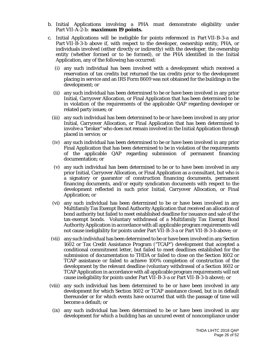- b. Initial Applications involving a PHA must demonstrate eligibility under Part VII-A-2-b: *maximum 19 points.*
- c. Initial Applications will be ineligible for points referenced in Part VII-B-3-a and Part VII-B-3-b above if, with respect to the developer, ownership entity, PHA, or individuals involved (either directly or indirectly) with the developer, the ownership entity (whether formed or to be formed), or the PHA identified in the Initial Application, any of the following has occurred:
	- (i) any such individual has been involved with a development which received a reservation of tax credits but returned the tax credits prior to the development placing in service and an IRS Form 8609 was not obtained for the buildings in the development; or
	- (ii) any such individual has been determined to be or have been involved in any prior Initial, Carryover Allocation, or Final Application that has been determined to be in violation of the requirements of the applicable QAP regarding developer or related party issues; or
	- (iii) any such individual has been determined to be or have been involved in any prior Initial, Carryover Allocation, or Final Application that has been determined to involve a "broker" who does not remain involved in the Initial Application through placed in service; or
	- (iv) any such individual has been determined to be or have been involved in any prior Final Application that has been determined to be in violation of the requirements of the applicable QAP regarding submission of permanent financing documentation; or
	- (v) any such individual has been determined to be or to have been involved in any prior Initial, Carryover Allocation, or Final Application as a consultant, but who is a signatory or guarantor of construction financing documents, permanent financing documents, and/or equity syndication documents with respect to the development reflected in such prior Initial, Carryover Allocation, or Final Application; or
	- (vi) any such individual has been determined to be or have been involved in any Multifamily Tax Exempt Bond Authority Application that received an allocation of bond authority but failed to meet established deadline for issuance and sale of the tax-exempt bonds. Voluntary withdrawal of a Multifamily Tax Exempt Bond Authority Application in accordance with all applicable program requirements will not cause ineligibility for points under Part VII-B-3-a or Part VII-B-3-b above; or
	- (vii) any such individual has been determined to be or have been involved in any Section 1602 or Tax Credit Assistance Program ("TCAP") development that accepted a conditional commitment letter, but failed to meet deadlines established for the submission of documentation to THDA or failed to close on the Section 1602 or TCAP assistance or failed to achieve 100% completion of construction of the development by the relevant deadline (voluntary withdrawal of a Section 1602 or TCAP Application in accordance with all applicable program requirements will not cause ineligibility for points under Part VII-B-3-a or Part VII-B-3-b above); or
- (viii) any such individual has been determined to be or have been involved in any development for which Section 1602 or TCAP assistance closed, but is in default thereunder or for which events have occurred that with the passage of time will become a default; or
	- (ix) any such individual has been determined to be or have been involved in any development for which a building has an uncured event of noncompliance under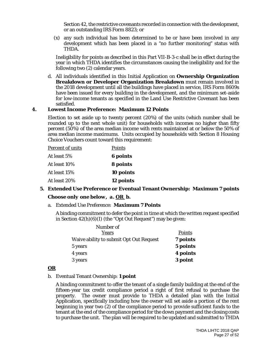Section 42, the restrictive covenants recorded in connection with the development, or an outstanding IRS Form 8823; or

(x) any such individual has been determined to be or have been involved in any development which has been placed in a "no further monitoring" status with THDA.

Ineligibility for points as described in this Part VII-B-3-c shall be in effect during the year in which THDA identifies the circumstances causing the ineligibility and for the following two (2) calendar years.

d. All individuals identified in this Initial Application on **Ownership Organization Breakdown or Developer Organization Breakdown** must remain involved in the 2018 development until all the buildings have placed in service, IRS Form 8609s have been issued for every building in the development, and the minimum set-aside for low-income tenants as specified in the Land Use Restrictive Covenant has been satisfied.

#### **4. Lowest Income Preference: Maximum 12 Points**

Election to set aside up to twenty percent (20%) of the units (which number shall be rounded up to the next whole unit) for households with incomes no higher than fifty percent (50%) of the area median income with rents maintained at or below the 50% of area median income maximums. Units occupied by households with Section 8 Housing Choice Vouchers count toward this requirement:

| <b>Percent of units</b> | Points          |  |
|-------------------------|-----------------|--|
| At least 5%             | <b>6</b> points |  |
| At least 10%            | 8 points        |  |
| At least 15%            | 10 points       |  |
| At least 20%            | 12 points       |  |

### **5. Extended Use Preference or Eventual Tenant Ownership: Maximum 7 points** *Choose only one below, a. OR b.*

a. Extended Use Preference: **Maximum 7 Points**

A binding commitment to defer the point in time at which the written request specified in Section 42(h)(6)(I) (the "Opt Out Request") may be given:

| Number of                               |          |
|-----------------------------------------|----------|
| Years                                   | Points   |
| Waive ability to submit Opt Out Request | 7 points |
| 5 years                                 | 5 points |
| 4 years                                 | 4 points |
| 3 years                                 | 3 point  |

#### *OR*

#### b. Eventual Tenant Ownership: **1 point**

A binding commitment to offer the tenant of a single family building at the end of the fifteen-year tax credit compliance period a right of first refusal to purchase the property. The owner must provide to THDA a detailed plan with the Initial Application, specifically including how the owner will set aside a portion of the rent beginning in year two (2) of the compliance period to provide sufficient funds to the tenant at the end of the compliance period for the down payment and the closing costs to purchase the unit. The plan will be required to be updated and submitted to THDA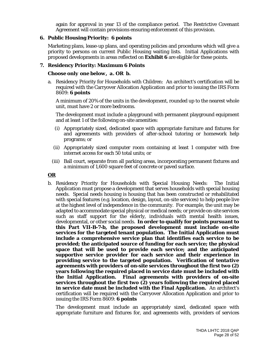again for approval in year 13 of the compliance period. The Restrictive Covenant Agreement will contain provisions ensuring enforcement of this provision.

#### **6. Public Housing Priority: 6 points**

Marketing plans, lease-up plans, and operating policies and procedures which will give a priority to persons on current Public Housing waiting lists. Initial Applications with proposed developments in areas reflected on **Exhibit 6** are eligible for these points.

#### **7. Residency Priority: Maximum 6 Points**

#### *Choose only one below, a. OR b.*

a. Residency Priority for Households with Children: An architect's certification will be required with the Carryover Allocation Application and prior to issuing the IRS Form 8609: **6 points**

A minimum of 20% of the units in the development, rounded up to the nearest whole unit, must have 2 or more bedrooms.

The development must include a playground with permanent playground equipment and at least 1 of the following on-site amenities:

- (i) Appropriately sized, dedicated space with appropriate furniture and fixtures for and agreements with providers of after-school tutoring or homework help programs; or
- (ii) Appropriately sized computer room containing at least 1 computer with free internet access for each 50 total units; or
- (iii) Ball court, separate from all parking areas, incorporating permanent fixtures and a minimum of 1,600 square feet of concrete or paved surface.

#### *OR*

b. Residency Priority for Households with Special Housing Needs: The Initial Application must propose a development that serves households with special housing needs. Special needs housing is housing that has been constructed or rehabilitated with special features (e.g. location, design, layout, on-site services) to help people live at the highest level of independence in the community. For example, the unit may be adapted to accommodate special physical or medical needs; or provide on-site services such as staff support for the elderly, individuals with mental health issues, developmental, or other social needs. **In order to qualify for points pursuant to this Part VII-B-7-b, the proposed development must include on-site services for the targeted tenant population. The Initial Application must include a comprehensive service plan that identifies each service to be provided; the anticipated source of funding for each service; the physical space that will be used to provide each service; and the anticipated supportive service provider for each service and their experience in providing service to the targeted population. Verification of** *tentative* **agreements with providers of on-site services throughout the first two (2) years following the required placed in service date must be included with the Initial Application.** *Final* **agreements with providers of on-site services throughout the first two (2) years following the required placed in service date must be included with the Final Application.** An architect's certification will be required with the Carryover Allocation Application and prior to issuing the IRS Form 8609: **6 points**

The development must include an appropriately sized, dedicated space with appropriate furniture and fixtures for, and agreements with, providers of services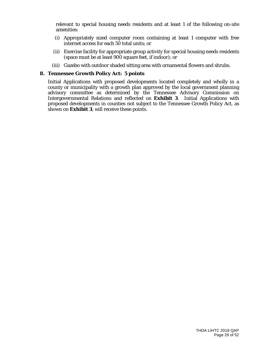relevant to special housing needs residents and at least 1 of the following on-site amenities:

- (i) Appropriately sized computer room containing at least 1 computer with free internet access for each 50 total units; or
- (ii) Exercise facility for appropriate group activity for special housing needs residents (space must be at least 900 square feet, if indoor); or
- (iii) Gazebo with outdoor shaded sitting area with ornamental flowers and shrubs.

#### **8. Tennessee Growth Policy Act: 5 points**

Initial Applications with proposed developments located completely and wholly in a county or municipality with a growth plan approved by the local government planning advisory committee as determined by the Tennessee Advisory Commission on Intergovernmental Relations and reflected on **Exhibit 3**. Initial Applications with proposed developments in counties not subject to the Tennessee Growth Policy Act, as shown on **Exhibit 3**, will receive these points.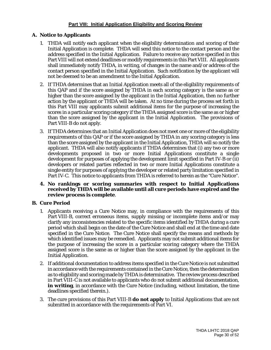#### **Part VIII: Initial Application Eligibility and Scoring Review**

#### **A. Notice to Applicants**

- 1. THDA will notify each applicant when the eligibility determination and scoring of their Initial Application is complete. THDA will send this notice to the contact person and the address specified in the Initial Application. Failure to receive any notice specified in this Part VIII will not extend deadlines or modify requirements in this Part VIII. All applicants shall immediately notify THDA, in writing, of changes in the name and/or address of the contact person specified in the Initial Application. Such notification by the applicant will not be deemed to be an amendment to the Initial Application.
- 2. If THDA determines that an Initial Application meets all of the eligibility requirements of this QAP and if the score assigned by THDA in each scoring category is the same as or higher than the score assigned by the applicant in the Initial Application, then no further action by the applicant or THDA will be taken. At no time during the process set forth in this Part VIII may applicants submit additional items for the purpose of increasing the scores in a particular scoring category if the THDA assigned score is the same as or higher than the score assigned by the applicant in the Initial Application. The provisions of Part VIII-B do not apply.
- 3. If THDA determines that an Initial Application does not meet one or more of the eligibility requirements of this QAP or if the score assigned by THDA in any scoring category is less than the score assigned by the applicant in the Initial Application, THDA will so notify the applicant. THDA will also notify applicants if THDA determines that (i) any two or more developments proposed in two or more Initial Applications constitute a single development for purposes of applying the development limit specified in Part IV-B or (ii) developers or related parties reflected in two or more Initial Applications constitute a single entity for purposes of applying the developer or related party limitation specified in Part IV-C. This notice to applicants from THDA is referred to herein as the "Cure Notice".
- **4. No rankings or scoring summaries with respect to Initial Applications received by THDA will be available until all cure periods have expired and the review process is complete**.

#### **B. Cure Period**

- 1. Applicants receiving a Cure Notice may, in compliance with the requirements of this Part VIII-B, correct erroneous items, supply missing or incomplete items and/or may clarify any inconsistencies related to the specific items identified by THDA during a cure period which shall begin on the date of the Cure Notice and shall end at the time and date specified in the Cure Notice. The Cure Notice shall specify the means and methods by which identified issues may be remedied. Applicants may not submit additional items for the purpose of increasing the score in a particular scoring category where the THDA assigned score is the same as or higher than the score assigned by the applicant in the Initial Application.
- 2. If additional documentation to address items specified in the Cure Notice is not submitted in accordance with the requirements contained in the Cure Notice, then the determination as to eligibility and scoring made by THDA is determinative. The review process described in Part VIII-C is not available to applicants who do not submit additional documentation, **in writing**, in accordance with the Cure Notice (including, without limitation, the time deadlines specified therein.).
- 3. The cure provisions of this Part VIII-B **do not apply** to Initial Applications that are not submitted in accordance with the requirements of Part VI.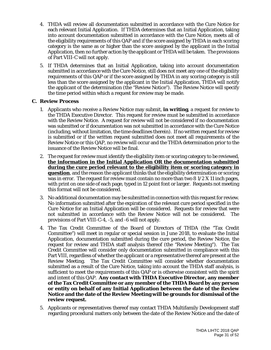- 4. THDA will review all documentation submitted in accordance with the Cure Notice for each relevant Initial Application. If THDA determines that an Initial Application, taking into account documentation submitted in accordance with the Cure Notice, meets all of the eligibility requirements of this QAP and if the score assigned by THDA in each scoring category is the same as or higher than the score assigned by the applicant in the Initial Application, then no further action by the applicant or THDA will be taken. The provisions of Part VIII-C will not apply.
- 5. If THDA determines that an Initial Application, taking into account documentation submitted in accordance with the Cure Notice, still does not meet any one of the eligibility requirements of this QAP or if the score assigned by THDA in any scoring category is still less than the score assigned by the applicant in the Initial Application, THDA will notify the applicant of the determination (the "Review Notice"). The Review Notice will specify the time period within which a request for review may be made.

#### **C. Review Process**

- 1. Applicants who receive a Review Notice may submit, **in writing**, a request for review to the THDA Executive Director. This request for review must be submitted in accordance with the Review Notice. A request for review will not be considered if no documentation was submitted or if documentation was not submitted in accordance with the Cure Notice (including, without limitation, the time deadlines therein). If no written request for review is submitted or if the written request submitted does not meet all requirements of the Review Notice or this QAP, no review will occur and the THDA determination prior to the issuance of the Review Notice will be final.
- 2. The request for review must identify the eligibility item or scoring category to be reviewed, **the information in the Initial Application OR the documentation submitted during the cure period relevant to the eligibility item or scoring category in question**, and the reason the applicant thinks that the eligibility determination or scoring was in error. The request for review must contain no more than two  $81/2 X 11$  inch pages, with print on one side of each page, typed in 12 point font or larger. Requests not meeting this format will not be considered.
- 3. No additional documentation may be submitted in connection with this request for review. No information submitted after the expiration of the relevant cure period specified in the Cure Notice for an Initial Application will be considered. Requests for review that were not submitted in accordance with the Review Notice will not be considered. The provisions of Part VIII-C-4, -5, and -6 will not apply.
- 4. The Tax Credit Committee of the Board of Directors of THDA (the "Tax Credit Committee") will meet in regular or special session in June 2018, to evaluate the Initial Application, documentation submitted during the cure period, the Review Notice, the request for review and THDA staff analysis thereof (the "Review Meeting"). The Tax Credit Committee will consider only documentation submitted in compliance with this Part VIII, regardless of whether the applicant or a representative thereof are present at the Review Meeting. The Tax Credit Committee will consider whether documentation submitted as a result of the Cure Notice, taking into account the THDA staff analysis, is sufficient to meet the requirements of this QAP or is otherwise consistent with the spirit and intent of this QAP. **Any contact with THDA Executive Director, any member of the Tax Credit Committee or any member of the THDA Board by any person or entity on behalf of any Initial Application between the date of the Review Notice and the date of the Review Meeting will be grounds for dismissal of the review request.**
- 5. Applicants or representatives thereof may contact THDA Multifamily Development staff regarding procedural matters only between the date of the Review Notice and the date of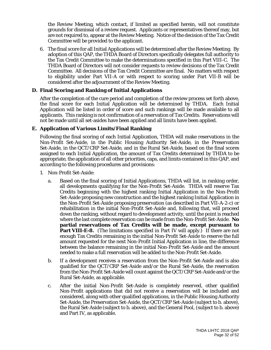the Review Meeting, which contact, if limited as specified herein, will not constitute grounds for dismissal of a review request. Applicants or representatives thereof may, but are not required to, appear at the Review Meeting. Notice of the decision of the Tax Credit Committee will be provided to the applicant.

6. The final score for all Initial Applications will be determined after the Review Meeting. By adoption of this QAP, the THDA Board of Directors specifically delegates full authority to the Tax Credit Committee to make the determinations specified in this Part VIII-C. The THDA Board of Directors will not consider requests to review decisions of the Tax Credit Committee. All decisions of the Tax Credit Committee are final. No matters with respect to eligibility under Part VII-A or with respect to scoring under Part VII-B will be considered after the adjournment of the Review Meeting.

#### **D. Final Scoring and Ranking of Initial Applications**

After the completion of the cure period and completion of the review process set forth above, the final score for each Initial Application will be determined by THDA. Each Initial Application will be listed in order of score and such rankings will be made available to all applicants. This ranking is not confirmation of a reservation of Tax Credits. Reservations will not be made until all set-asides have been applied and all limits have been applied.

#### **E. Application of Various Limits/Final Ranking**

Following the final scoring of each Initial Application, THDA will make reservations in the Non-Profit Set-Aside, in the Public Housing Authority Set-Aside, in the Preservation Set-Aside, in the QCT/CRP Set-Aside, and in the Rural Set-Aside, based on the final scores assigned to each Initial Application, the amount of Tax Credits determined by THDA to be appropriate, the application of all other priorities, caps, and limits contained in this QAP, and according to the following procedures and provisions:

- 1. Non-Profit Set-Aside:
	- a. Based on the final scoring of Initial Applications, THDA will list, in ranking order, all developments qualifying for the Non-Profit Set-Aside. THDA will reserve Tax Credits beginning with the highest ranking Initial Application in the Non-Profit Set-Aside proposing new construction and the highest ranking Initial Application in the Non-Profit Set-Aside proposing preservation (as described in Part VII-A-2-c) or rehabilitation in the initial Non-Profit Set-Aside and, following that, will proceed down the ranking, without regard to development activity, until the point is reached where the last complete reservation can be made from the Non-Profit Set-Aside. **No partial reservations of Tax Credits will be made, except pursuant to Part VIII-E-8.** (The limitations specified in Part IV will apply.) If there are not enough Tax Credits remaining in the initial Non-Profit Set-Aside to reserve the full amount requested for the next Non-Profit Initial Application in line, the difference between the balance remaining in the initial Non-Profit Set-Aside and the amount needed to make a full reservation will be added to the Non-Profit Set-Aside.
	- b. If a development receives a reservation from the Non-Profit Set-Aside and is also qualified for the QCT/CRP Set-Aside and/or the Rural Set-Aside, the reservation from the Non-Profit Set-Aside will count against the QCT/CRP Set-Aside and/or the Rural Set-Aside, as applicable.
	- c. After the initial Non-Profit Set-Aside is completely reserved, other qualified Non-Profit applications that did not receive a reservation will be included and considered, along with other qualified applications, in the Public Housing Authority Set-Aside, the Preservation Set-Aside, the QCT/CRP Set-Aside (subject to b. above), the Rural Set-Aside (subject to b. above), and the General Pool, (subject to b. above) and Part IV, as applicable.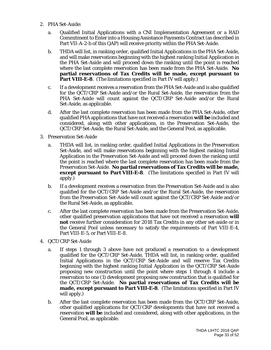- 2. PHA Set-Aside:
	- a. Qualified Initial Applications with a CNI Implementation Agreement or a RAD Commitment to Enter into a Housing Assistance Payments Contract (as described in Part VII-A-2-b of this QAP) will receive priority within the PHA Set-Aside.
	- b. THDA will list, in ranking order, qualified Initial Applications in the PHA Set-Aside, and will make reservations beginning with the highest ranking Initial Application in the PHA Set-Aside and will proceed down the ranking until the point is reached where the last complete reservation has been made from the PHA Set-Aside. **No partial reservations of Tax Credits will be made, except pursuant to Part VIII-E-8.** (The limitations specified in Part IV will apply.)
	- c. If a development receives a reservation from the PHA Set-Aside and is also qualified for the QCT/CRP Set-Aside and/or the Rural Set-Aside, the reservation from the PHA Set-Aside will count against the QCT/CRP Set-Aside and/or the Rural Set-Aside, as applicable.
	- d. After the last complete reservation has been made from the PHA Set-Aside, other qualified PHA applications that have not received a reservation **will be** included and considered, along with other applications, in the Preservation Set-Aside, the QCT/CRP Set-Aside, the Rural Set-Aside, and the General Pool, as applicable.
- 3. Preservation Set-Aside
	- a. THDA will list, in ranking order, qualified Initial Applications in the Preservation Set-Aside, and will make reservations beginning with the highest ranking Initial Application in the Preservation Set-Aside and will proceed down the ranking until the point is reached where the last complete reservation has been made from the Preservation Set-Aside. **No partial reservations of Tax Credits will be made, except pursuant to Part VIII-E-8**. (The limitations specified in Part IV will apply.)
	- b. If a development receives a reservation from the Preservation Set-Aside and is also qualified for the QCT/CRP Set-Aside and/or the Rural Set-Aside, the reservation from the Preservation Set-Aside will count against the QCT/CRP Set-Aside and/or the Rural Set-Aside, as applicable.
	- c. After the last complete reservation has been made from the Preservation Set-Aside, other qualified preservation applications that have not received a reservation **will not** receive further consideration for 2018 Tax Credits in any other set-aside or in the General Pool unless necessary to satisfy the requirements of Part VIII-E-4, Part VIII-E-5, or Part VIII-E-8.
- 4. QCT/CRP Set-Aside
	- a. If steps 1 through 3 above have not produced a reservation to a development qualified for the QCT/CRP Set-Aside, THDA will list, in ranking order, qualified Initial Applications in the QCT/CRP Set-Aside and will reserve Tax Credits beginning with the highest ranking Initial Application in the QCT/CRP Set-Aside proposing new construction until the point where steps 1 through 4 include a reservation to one (1) development proposing new construction that is qualified for the QCT/CRP Set-Aside. **No partial reservations of Tax Credits will be made, except pursuant to Part VIII-E-8**. (The limitations specified in Part IV will apply.)
	- b. After the last complete reservation has been made from the QCT/CRP Set-Aside, other qualified applications for QCT/CRP developments that have not received a reservation **will be** included and considered, along with other applications, in the General Pool, as applicable.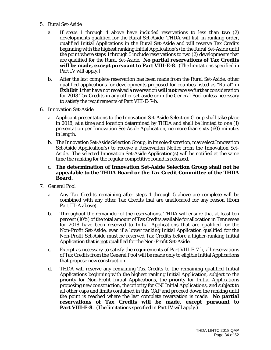- 5. Rural Set-Aside
	- a. If steps 1 through 4 above have included reservations to less than two (2) developments qualified for the Rural Set-Aside, THDA will list, in ranking order, qualified Initial Applications in the Rural Set-Aside and will reserve Tax Credits beginning with the highest ranking Initial Application(s) in the Rural Set-Aside until the point where steps 1 through 5 include reservations to two (2) developments that are qualified for the Rural Set-Aside. **No partial reservations of Tax Credits will be made, except pursuant to Part VIII-E-8**. (The limitations specified in Part IV will apply.)
	- b. After the last complete reservation has been made from the Rural Set-Aside, other qualified applications for developments proposed for counties listed as "Rural" in **Exhibit 1** that have not received a reservation **will not** receive further consideration for 2018 Tax Credits in any other set-aside or in the General Pool unless necessary to satisfy the requirements of Part VIII-E-7-b.
- 6. Innovation Set-Aside
	- a. Applicant presentations to the Innovation Set-Aside Selection Group shall take place in 2018, at a time and location determined by THDA and shall be limited to one (1) presentation per Innovation Set-Aside Application, no more than sixty (60) minutes in length.
	- b. The Innovation Set-Aside Selection Group, in its sole discretion, may select Innovation Set-Aside Application(s) to receive a Reservation Notice from the Innovation Set-Aside. The selected Innovation Set-Aside Application(s) will be notified at the same time the ranking for the regular competitive round is released.
	- c. **The determination of Innovation Set-Aside Selection Group shall not be appealable to the THDA Board or the Tax Credit Committee of the THDA Board.**
- 7. General Pool
	- a. Any Tax Credits remaining after steps 1 through 5 above are complete will be combined with any other Tax Credits that are unallocated for any reason (from Part III-A above).
	- b. Throughout the remainder of the reservations, THDA will ensure that at least ten percent (10%) of the total amount of Tax Credits available for allocation in Tennessee for 2018 have been reserved to Initial Applications that are qualified for the Non-Profit Set-Aside, even if a lower ranking Initial Application qualified for the Non-Profit Set-Aside must be reserved Tax Credits before a higher-ranking Initial Application that is not qualified for the Non-Profit Set-Aside.
	- c. Except as necessary to satisfy the requirements of Part VIII-E-7-b, all reservations of Tax Credits from the General Pool will be made only to eligible Initial Applications that propose new construction.
	- d. THDA will reserve any remaining Tax Credits to the remaining qualified Initial Applications beginning with the highest ranking Initial Application, subject to the priority for Non-Profit Initial Applications, the priority for Initial Applications proposing new construction, the priority for CNI Initial Applications, and subject to all other caps and limits contained in this QAP and proceed down the ranking until the point is reached where the last complete reservation is made. **No partial reservations of Tax Credits will be made, except pursuant to Part VIII-E-8.** (The limitations specified in Part IV will apply.)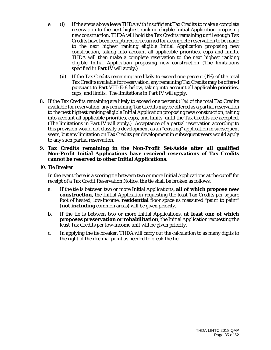- e. (i) If the steps above leave THDA with insufficient Tax Credits to make a complete reservation to the next highest ranking eligible Initial Application proposing new construction, THDA will hold the Tax Credits remaining until enough Tax Credits have been recaptured or returned for a complete reservation to be made to the next highest ranking eligible Initial Application proposing new construction, taking into account all applicable priorities, caps and limits. THDA will then make a complete reservation to the next highest ranking eligible Initial Application proposing new construction (The limitations specified in Part IV will apply.)
	- (ii) If the Tax Credits remaining are likely to exceed one percent (1%) of the total Tax Credits available for reservation, any remaining Tax Credits may be offered pursuant to Part VIII-E-8 below, taking into account all applicable priorities, caps, and limits. The limitations in Part IV will apply.
- 8. If the Tax Credits remaining are likely to exceed one percent (1%) of the total Tax Credits available for reservation, any remaining Tax Credits may be offered as a partial reservation to the next highest ranking eligible Initial Application proposing new construction, taking into account all applicable priorities, caps, and limits, until the Tax Credits are accepted. (The limitations in Part IV will apply.) Acceptance of a partial reservation according to this provision would not classify a development as an "existing" application in subsequent years, but any limitation on Tax Credits per development in subsequent years would apply to any such partial reservation.

#### 9. **Tax Credits remaining in the Non-Profit Set-Aside after all qualified Non-Profit Initial Applications have received reservations of Tax Credits cannot be reserved to other Initial Applications.**

10. Tie Breaker

In the event there is a scoring tie between two or more Initial Applications at the cutoff for receipt of a Tax Credit Reservation Notice, the tie shall be broken as follows:

- a. If the tie is between two or more Initial Applications, **all of which propose new construction**, the Initial Application requesting the least Tax Credits per square foot of heated, low-income, **residential** floor space as measured "paint to paint" (**not including** common areas) will be given priority.
- b. If the tie is between two or more Initial Applications, **at least one of which proposes preservation or rehabilitation**, the Initial Application requesting the least Tax Credits per low-income unit will be given priority.
- c. In applying the tie breaker, THDA will carry out the calculation to as many digits to the right of the decimal point as needed to break the tie.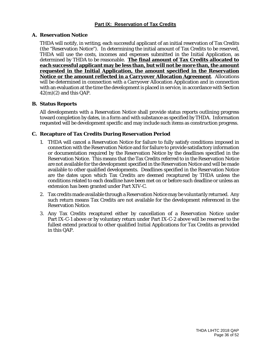#### **A. Reservation Notice**

THDA will notify, in writing, each successful applicant of an initial reservation of Tax Credits (the "Reservation Notice"). In determining the initial amount of Tax Credits to be reserved, THDA will use the costs, incomes and expenses submitted in the Initial Application, as determined by THDA to be reasonable. **The final amount of Tax Credits allocated to each successful applicant may be less than, but will not be more than, the amount requested in the Initial Application, the amount specified in the Reservation Notice or the amount reflected in a Carryover Allocation Agreement**. Allocations will be determined in connection with a Carryover Allocation Application and in connection with an evaluation at the time the development is placed in service, in accordance with Section  $42(m)(2)$  and this QAP.

#### **B. Status Reports**

All developments with a Reservation Notice shall provide status reports outlining progress toward completion by dates, in a form and with substance as specified by THDA. Information requested will be development specific and may include such items as construction progress.

#### **C. Recapture of Tax Credits During Reservation Period**

- 1. THDA will cancel a Reservation Notice for failure to fully satisfy conditions imposed in connection with the Reservation Notice and for failure to provide satisfactory information or documentation required by the Reservation Notice by the deadlines specified in the Reservation Notice. This means that the Tax Credits referred to in the Reservation Notice are not available for the development specified in the Reservation Notice and will be made available to other qualified developments. Deadlines specified in the Reservation Notice are the dates upon which Tax Credits are deemed recaptured by THDA unless the conditions related to each deadline have been met on or before such deadline or unless an extension has been granted under Part XIV-C.
- 2. Tax credits made available through a Reservation Notice may be voluntarily returned. Any such return means Tax Credits are not available for the development referenced in the Reservation Notice.
- 3. Any Tax Credits recaptured either by cancellation of a Reservation Notice under Part IX-C-1 above or by voluntary return under Part IX-C-2 above will be reserved to the fullest extend practical to other qualified Initial Applications for Tax Credits as provided in this QAP.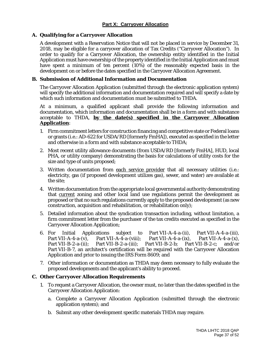#### **A. Qualifying for a Carryover Allocation**

A development with a Reservation Notice that will not be placed in service by December 31, 2018, may be eligible for a carryover allocation of Tax Credits ("Carryover Allocation"). In order to qualify for a Carryover Allocation, the ownership entity identified in the Initial Application must have ownership of the property identified in the Initial Application and must have spent a minimum of ten percent (10%) of the reasonably expected basis in the development on or before the dates specified in the Carryover Allocation Agreement.

#### **B. Submission of Additional Information and Documentation**

The Carryover Allocation Application (submitted through the electronic application system) will specify the additional information and documentation required and will specify a date by which such information and documentation must be submitted to THDA.

At a minimum, a qualified applicant shall provide the following information and documentation, which information and documentation shall be in a form and with substance acceptable to THDA, **by the date(s) specified in the Carryover Allocation Application**:

- 1. Firm commitment letters for construction financing and competitive state or Federal loans or grants (i.e.: AD-622 for USDA/RD [formerly FmHA]), executed as specified in the letter and otherwise in a form and with substance acceptable to THDA;
- 2. Most recent utility allowance documents (from USDA/RD [formerly FmHA], HUD, local PHA, or utility company) demonstrating the basis for calculations of utility costs for the size and type of units proposed;
- 3. Written documentation from each service provider that all necessary utilities (i.e.: electricity, gas (if proposed development utilizes gas), sewer, and water) are available at the site;
- 4. Written documentation from the appropriate local governmental authority demonstrating that current zoning and other local land use regulations permit the development as proposed or that no such regulations currently apply to the proposed development (as new construction, acquisition and rehabilitation, or rehabilitation only);
- 5. Detailed information about the syndication transaction including, without limitation, a firm commitment letter from the purchaser of the tax credits executed as specified in the Carryover Allocation Application;
- 6. For Initial Applications subject to Part VII-A-4-a-(ii), Part VII-A-4-a-(iii),<br>Part VII-A-4-a-(viii): Part VII-A-4-a-(ix), Part VII-A-4-a-(x), Part VII-A-4-a-(viii); Part VII-A-4-a-(ix),<br>Part VII-B-2-a-(iii); Part VII-B-2-b; Par Part VII-B-2-a-(ii); Part VII-B-2-a-(iii); Part VII-B-2-b; Part VII-B-2-c; and/or Part VII-B-7, an architect's certification will be required with the Carryover Allocation Application and prior to issuing the IRS Form 8609; and
- 7. Other information or documentation as THDA may deem necessary to fully evaluate the proposed developments and the applicant's ability to proceed.

#### **C. Other Carryover Allocation Requirements**

- 1. To request a Carryover Allocation, the owner must, no later than the dates specified in the Carryover Allocation Application:
	- a. Complete a Carryover Allocation Application (submitted through the electronic application system); and
	- b. Submit any other development specific materials THDA may require.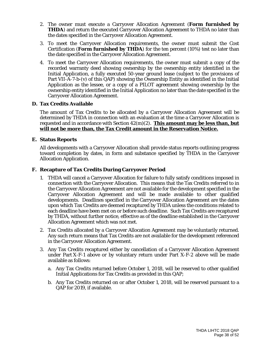- 2. The owner must execute a Carryover Allocation Agreement (**Form furnished by THDA**) and return the executed Carryover Allocation Agreement to THDA no later than the dates specified in the Carryover Allocation Agreement.
- 3. To meet the Carryover Allocation requirements, the owner must submit the Cost Certification (**Form furnished by THDA**) for the ten percent (10%) test no later than the date specified in the Carryover Allocation Agreement.
- 4. To meet the Carryover Allocation requirements, the owner must submit a copy of the recorded warranty deed showing ownership by the ownership entity identified in the Initial Application, a fully executed 50-year ground lease (subject to the provisions of Part VII-A-7-b-(v) of this QAP) showing the Ownership Entity as identified in the Initial Application as the lessee, or a copy of a PILOT agreement showing ownership by the ownership entity identified in the Initial Application no later than the date specified in the Carryover Allocation Agreement.

#### **D. Tax Credits Available**

The amount of Tax Credits to be allocated by a Carryover Allocation Agreement will be determined by THDA in connection with an evaluation at the time a Carryover Allocation is requested and in accordance with Section 42(m)(2). **This amount may be less than, but will not be more than, the Tax Credit amount in the Reservation Notice.**

#### **E. Status Reports**

All developments with a Carryover Allocation shall provide status reports outlining progress toward completion by dates, in form and substance specified by THDA in the Carryover Allocation Application.

#### **F. Recapture of Tax Credits During Carryover Period**

- 1. THDA will cancel a Carryover Allocation for failure to fully satisfy conditions imposed in connection with the Carryover Allocation. This means that the Tax Credits referred to in the Carryover Allocation Agreement are not available for the development specified in the Carryover Allocation Agreement and will be made available to other qualified developments. Deadlines specified in the Carryover Allocation Agreement are the dates upon which Tax Credits are deemed recaptured by THDA unless the conditions related to each deadline have been met on or before such deadline. Such Tax Credits are recaptured by THDA, without further notice, effective as of the deadline established in the Carryover Allocation Agreement which was not met.
- 2. Tax Credits allocated by a Carryover Allocation Agreement may be voluntarily returned. Any such return means that Tax Credits are not available for the development referenced in the Carryover Allocation Agreement.
- 3. Any Tax Credits recaptured either by cancellation of a Carryover Allocation Agreement under Part X-F-1 above or by voluntary return under Part X-F-2 above will be made available as follows:
	- a. Any Tax Credits returned before October 1, 2018, will be reserved to other qualified Initial Applications for Tax Credits as provided in this QAP;
	- b. Any Tax Credits returned on or after October 1, 2018, will be reserved pursuant to a QAP for 2019, if available.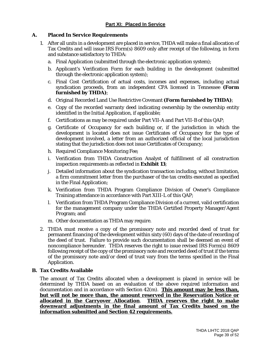#### **A. Placed In Service Requirements**

- 1. After all units in a development are placed in service, THDA will make a final allocation of Tax Credits and will issue IRS Form(s) 8609 only after receipt of the following, in form and substance satisfactory to THDA:
	- a. Final Application (submitted through the electronic application system);
	- b. Applicant's Verification Form for each building in the development (submitted through the electronic application system);
	- c. Final Cost Certification of actual costs, incomes and expenses, including actual syndication proceeds, from an independent CPA licensed in Tennessee **(Form furnished by THDA)**;
	- d. Original Recorded Land Use Restrictive Covenant **(Form furnished by THDA)**;
	- e. Copy of the recorded warranty deed indicating ownership by the ownership entity identified in the Initial Application, if applicable;
	- f. Certifications as may be required under Part VII-A and Part VII-B of this QAP;
	- g. Certificate of Occupancy for each building or, if the jurisdiction in which the development is located does not issue Certificates of Occupancy for the type of development involved, a letter from an authorized official of the local jurisdiction stating that the jurisdiction does not issue Certificates of Occupancy;
	- h. Required Compliance Monitoring Fee;
	- i. Verification from THDA Construction Analyst of fulfillment of all construction inspection requirements as reflected in **Exhibit 13**;
	- j. Detailed information about the syndication transaction including, without limitation, a firm commitment letter from the purchaser of the tax credits executed as specified in the Final Application;
	- k. Verification from THDA Program Compliance Division of Owner's Compliance Training attendance in accordance with Part XIII-L of this QAP;
	- l. Verification from THDA Program Compliance Division of a current, valid certification for the management company under the THDA Certified Property Manager/Agent Program; and
	- m. Other documentation as THDA may require.
- 2. THDA must receive a copy of the promissory note and recorded deed of trust for permanent financing of the development within sixty (60) days of the date of recording of the deed of trust. Failure to provide such documentation shall be deemed an event of noncompliance hereunder. THDA reserves the right to issue revised IRS Form(s) 8609 following receipt of the copy of the promissory note and recorded deed of trust if the terms of the promissory note and/or deed of trust vary from the terms specified in the Final Application.

#### **B. Tax Credits Available**

The amount of Tax Credits allocated when a development is placed in service will be determined by THDA based on an evaluation of the above required information and documentation and in accordance with Section 42(m). **This amount may be less than, but will not be more than, the amount reserved in the Reservation Notice or allocated in the Carryover Allocation**. **THDA reserves the right to make downward adjustments in the final amount of Tax Credits based on the information submitted and Section 42 requirements.**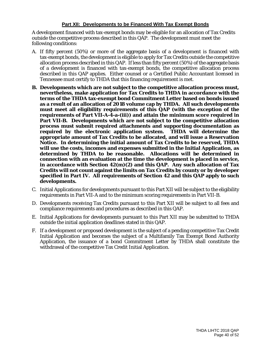#### **Part XII: Developments to be Financed With Tax Exempt Bonds**

A development financed with tax-exempt bonds may be eligible for an allocation of Tax Credits outside the competitive process described in this QAP. The development must meet the following conditions:

- A. If fifty percent (50%) or more of the aggregate basis of a development is financed with tax-exempt bonds, the development is eligible to apply for Tax Credits outside the competitive allocation process described in this QAP. If less than fifty percent (50%) of the aggregate basis of a development is financed with tax-exempt bonds, the competitive allocation process described in this QAP applies. Either counsel or a Certified Public Accountant licensed in Tennessee must certify to THDA that this financing requirement is met.
- **B. Developments which are not subject to the competitive allocation process must, nevertheless, make application for Tax Credits to THDA in accordance with the terms of the THDA tax-exempt bond Commitment Letter based on bonds issued as a result of an allocation of 2018 volume cap by THDA. All such developments must meet all eligibility requirements of this QAP (with the exception of the requirements of Part VII-A-4-a-(iii)) and attain the minimum score required in Part VII-B. Developments which are not subject to the competitive allocation process must submit required attachments and supporting documentation as required by the electronic application system. THDA will determine the appropriate amount of Tax Credits to be allocated, and will issue a Reservation Notice. In determining the initial amount of Tax Credits to be reserved, THDA will use the costs, incomes and expenses submitted in the Initial Application, as determined by THDA to be reasonable. Allocations will be determined in connection with an evaluation at the time the development is placed in service, in accordance with Section 42(m)(2) and this QAP. Any such allocation of Tax Credits will not count against the limits on Tax Credits by county or by developer specified in Part IV. All requirements of Section 42 and this QAP apply to such developments.**
- C. Initial Applications for developments pursuant to this Part XII will be subject to the eligibility requirements in Part VII-A and to the minimum scoring requirements in Part VII-B.
- D. Developments receiving Tax Credits pursuant to this Part XII will be subject to all fees and compliance requirements and procedures as described in this QAP.
- E. Initial Applications for developments pursuant to this Part XII may be submitted to THDA outside the initial application deadlines stated in this QAP.
- F. If a development or proposed development is the subject of a pending competitive Tax Credit Initial Application and becomes the subject of a Multifamily Tax Exempt Bond Authority Application, the issuance of a bond Commitment Letter by THDA shall constitute the withdrawal of the competitive Tax Credit Initial Application.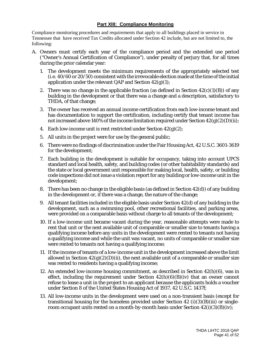#### **Part XIII: Compliance Monitoring**

Compliance monitoring procedures and requirements that apply to all buildings placed in service in Tennessee that have received Tax Credits allocated under Section 42 include, but are not limited to, the following:

- A. Owners must certify each year of the compliance period and the extended use period ("Owner's Annual Certification of Compliance"), under penalty of perjury that, for all times during the prior calendar year:
	- 1. The development meets the minimum requirements of the appropriately selected test (i.e. 40/60 or 20/50) consistent with the irrevocable election made at the time of the initial application under the relevant QAP and Section  $42(g)(1)$ ;
	- 2. There was no change in the applicable fraction (as defined in Section  $42(c)(1)(B)$ ) of any building in the development or that there was a change and a description, satisfactory to THDA, of that change;
	- 3. The owner has received an annual income certification from each low-income tenant and has documentation to support the certification, including certify that tenant income has not increased above 140% of the income limitation required under Section  $42(g)(2)(D)(ii)$ ;
	- 4. Each low-income unit is rent restricted under Section  $42(g)(2)$ ;
	- 5. All units in the project were for use by the general public;
	- 6. There were no findings of discrimination under the Fair Housing Act, 42 U.S.C. 3601-3619 for the development;
	- 7. Each building in the development is suitable for occupancy, taking into account UPCS standard and local health, safety, and building codes (or other habitability standards) and the state or local government unit responsible for making local, health, safety, or building code inspections did not issue a violation report for any building or low-income unit in the development;
	- 8. There has been no change in the eligible basis (as defined in Section 42(d)) of any building in the development or, if there was a change, the nature of the change;
	- 9. All tenant facilities included in the eligible basis under Section 42(d) of any building in the development, such as a swimming pool, other recreational facilities, and parking areas, were provided on a comparable basis without charge to all tenants of the development;
	- 10. If a low-income unit became vacant during the year, reasonable attempts were made to rent that unit or the next available unit of comparable or smaller size to tenants having a qualifying income before any units in the development were rented to tenants not having a qualifying income and while the unit was vacant, no units of comparable or smaller size were rented to tenants not having a qualifying income;
	- 11. If the income of tenants of a low-income unit in the development increased above the limit allowed in Section  $42(g)(2)(D)(ii)$ , the next available unit of a comparable or smaller size was rented to residents having a qualifying income;
	- 12. An extended low-income housing commitment, as described in Section 42(h)(6), was in effect, including the requirement under Section  $42(h)(6)(B)(iv)$  that an owner cannot refuse to lease a unit in the project to an applicant because the applicants holds a voucher under Section 8 of the United States Housing Act of 1937, 42 U.S.C. 1437f;
	- 13. All low-income units in the development were used on a non-transient basis (except for transitional housing for the homeless provided under Section  $42$  (i)(3)(B)(iii) or singleroom occupant units rented on a month-by-month basis under Section  $42(i)(3)(B)(iv)$ ;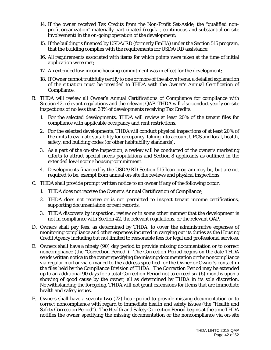- 14. If the owner received Tax Credits from the Non-Profit Set-Aside, the "qualified nonprofit organization" materially participated (regular, continuous and substantial on-site involvement) in the on-going operation of the development;
- 15. If the building is financed by USDA/RD (formerly FmHA) under the Section 515 program, that the building complies with the requirements for USDA/RD assistance;
- 16. All requirements associated with items for which points were taken at the time of initial application were met;
- 17. An extended low-income housing commitment was in effect for the development;
- 18. If Owner cannot truthfully certify to one or more of the above items, a detailed explanation of the situation must be provided to THDA with the Owner's Annual Certification of Compliance.
- B. THDA will review all Owner's Annual Certifications of Compliance for compliance with Section 42, relevant regulations and the relevant QAP. THDA will also conduct yearly on-site inspections of no less than 33% of developments receiving Tax Credits.
	- 1. For the selected developments, THDA will review at least 20% of the tenant files for compliance with applicable occupancy and rent restrictions.
	- 2. For the selected developments, THDA will conduct physical inspections of at least 20% of the units to evaluate suitability for occupancy, taking into account UPCS and local, health, safety, and building codes (or other habitability standards).
	- 3. As a part of the on-site inspection, a review will be conducted of the owner's marketing efforts to attract special needs populations and Section 8 applicants as outlined in the extended low-income housing commitment.
	- 4. Developments financed by the USDA/RD Section 515 loan program may be, but are not required to be, exempt from annual on-site file reviews and physical inspections.
- C. THDA shall provide prompt written notice to an owner if any of the following occur:
	- 1. THDA does not receive the Owner's Annual Certification of Compliance;
	- 2. THDA does not receive or is not permitted to inspect tenant income certifications, supporting documentation or rent records;
	- 3. THDA discovers by inspection, review or in some other manner that the development is not in compliance with Section 42, the relevant regulations, or the relevant QAP.
- D. Owners shall pay fees, as determined by THDA, to cover the administrative expenses of monitoring compliance and other expenses incurred in carrying out its duties as the Housing Credit Agency including but not limited to reasonable fees for legal and professional services.
- E. Owners shall have a ninety (90) day period to provide missing documentation or to correct noncompliance (the "Correction Period"). The Correction Period begins on the date THDA sends written notice to the owner specifying the missing documentation or the noncompliance via regular mail or via e-mailed to the address specified for the Owner or Owner's contact in the files held by the Compliance Division of THDA. The Correction Period may be extended up to an additional 90 days for a total Correction Period not to exceed six (6) months upon a showing of good cause by the owner, all as determined by THDA in its sole discretion. Notwithstanding the foregoing, THDA will not grant extensions for items that are immediate health and safety issues.
- F. Owners shall have a seventy-two (72) hour period to provide missing documentation or to correct noncompliance with regard to immediate health and safety issues (the "Health and Safety Correction Period"). The Health and Safety Correction Period begins at the time THDA notifies the owner specifying the missing documentation or the noncompliance via on-site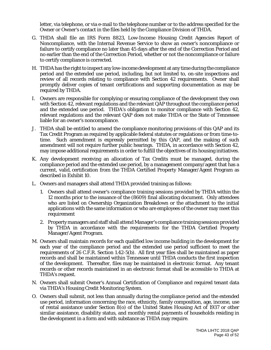letter, via telephone, or via e-mail to the telephone number or to the address specified for the Owner or Owner's contact in the files held by the Compliance Division of THDA.

- G. THDA shall file an IRS Form 8823, Low-Income Housing Credit Agencies Report of Noncompliance, with the Internal Revenue Service to show an owner's noncompliance or failure to certify compliance no later than 45 days after the end of the Correction Period and no earlier than the end of the Correction Period, whether or not the noncompliance or failure to certify compliance is corrected.
- H. THDA has the right to inspect any low-income development at any time during the compliance period and the extended use period, including, but not limited to, on-site inspections and review of all records relating to compliance with Section 42 requirements. Owner shall promptly deliver copies of tenant certifications and supporting documentation as may be required by THDA.
- I. Owners are responsible for complying or ensuring compliance of the development they own with Section 42, relevant regulations and the relevant QAP throughout the compliance period and the extended use period. THDA's obligation to monitor compliance with Section 42, relevant regulations and the relevant QAP does not make THDA or the State of Tennessee liable for an owner's noncompliance.
- J. THDA shall be entitled to amend the compliance monitoring provisions of this QAP and its Tax Credit Program as required by applicable federal statutes or regulations or from time-totime. Such amendment is expressly permitted by this QAP, and the making of such amendment will not require further public hearings. THDA, in accordance with Section 42, may impose additional requirements in order to fulfill the objectives of its housing initiatives.
- K. Any development receiving an allocation of Tax Credits must be managed, during the compliance period and the extended use period, by a management company/agent that has a current, valid, certification from the THDA Certified Property Manager/Agent Program as described in Exhibit 10.
- L. Owners and managers shall attend THDA provided training as follows:
	- 1. Owners shall attend owner's compliance training sessions provided by THDA within the 12 months prior to the issuance of the (8609) final allocating document. Only attendees who are listed on Ownership Organization Breakdown or the attachment to the initial applications with the same information or who are employees of the owner may meet this requirement
	- 2. Property managers and staff shall attend Manager's compliance training sessions provided by THDA in accordance with the requirements for the THDA Certified Property Manager/Agent Program.
- M. Owners shall maintain records for each qualified low income building in the development for each year of the compliance period and the extended use period sufficient to meet the requirements of 26 C.F.R. Section 1.42-5(b). All first year files shall be maintained as paper records and shall be maintained within Tennessee until THDA conducts the first inspection of the development. Thereafter, files may be maintained in electronic format. Any tenant records or other records maintained in an electronic format shall be accessible to THDA at THDA's request.
- N. Owners shall submit Owner's Annual Certification of Compliance and required tenant data via THDA's Housing Credit Monitoring System.
- O. Owners shall submit, not less than annually during the compliance period and the extended use period, information concerning the race, ethnicity, family composition, age, income, use of rental assistance under Section 8(o) of the United States Housing Act of 1937 or other similar assistance, disability status, and monthly rental payments of households residing in the development in a form and with substance as THDA may require.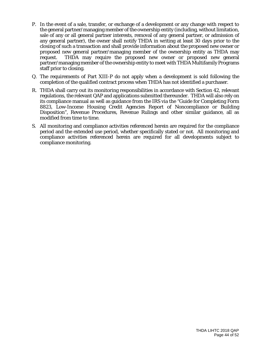- P. In the event of a sale, transfer, or exchange of a development or any change with respect to the general partner/managing member of the ownership entity (including, without limitation, sale of any or all general partner interests, removal of any general partner, or admission of any general partner), the owner shall notify THDA in writing at least 30 days prior to the closing of such a transaction and shall provide information about the proposed new owner or proposed new general partner/managing member of the ownership entity as THDA may request. THDA may require the proposed new owner or proposed new general partner/managing member of the ownership entity to meet with THDA Multifamily Programs staff prior to closing.
- Q. The requirements of Part XIII-P do not apply when a development is sold following the completion of the qualified contract process when THDA has not identified a purchaser.
- R. THDA shall carry out its monitoring responsibilities in accordance with Section 42, relevant regulations, the relevant QAP and applications submitted thereunder. THDA will also rely on its compliance manual as well as guidance from the IRS via the "Guide for Completing Form 8823, Low-Income Housing Credit Agencies Report of Noncompliance or Building Disposition", Revenue Procedures, Revenue Rulings and other similar guidance, all as modified from time to time.
- S. All monitoring and compliance activities referenced herein are required for the compliance period and the extended use period, whether specifically stated or not. All monitoring and compliance activities referenced herein are required for all developments subject to compliance monitoring.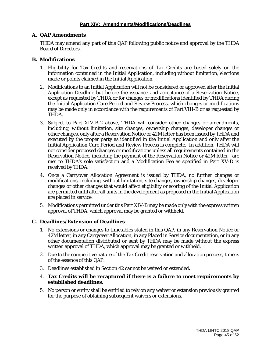#### **A. QAP Amendments**

THDA may amend any part of this QAP following public notice and approval by the THDA Board of Directors.

#### **B. Modifications**

- 1. Eligibility for Tax Credits and reservations of Tax Credits are based solely on the information contained in the Initial Application, including without limitation, elections made or points claimed in the Initial Application.
- 2. Modifications to an Initial Application will not be considered or approved after the Initial Application Deadline but before the issuance and acceptance of a Reservation Notice, except as requested by THDA or for changes or modifications identified by THDA during the Initial Application Cure Period and Review Process, which changes or modifications may be made only in accordance with the requirements of Part VIII-B or as requested by THDA.
- 3. Subject to Part XIV-B-2 above, THDA will consider other changes or amendments, including, without limitation, site changes, ownership changes, developer changes or other changes, only after a Reservation Notice or 42M letter has been issued by THDA and executed by the proper party as identified in the Initial Application and only after the Initial Application Cure Period and Review Process is complete. In addition, THDA will not consider proposed changes or modifications unless all requirements contained in the Reservation Notice, including the payment of the Reservation Notice or 42M letter , are met to THDA's sole satisfaction and a Modification Fee as specified in Part XV-D is received by THDA.
- 4. Once a Carryover Allocation Agreement is issued by THDA, no further changes or modifications, including, without limitation, site changes, ownership changes, developer changes or other changes that would affect eligibility or scoring of the Initial Application are permitted until after all units in the development as proposed in the Initial Application are placed in service.
- 5. Modifications permitted under this Part XIV-B may be made only with the express written approval of THDA, which approval may be granted or withheld.

#### **C. Deadlines/Extension of Deadlines**

- 1. No extensions or changes to timetables stated in this QAP, in any Reservation Notice or 42M letter, in any Carryover Allocation, in any Placed in Service documentation, or in any other documentation distributed or sent by THDA may be made without the express written approval of THDA, which approval may be granted or withheld.
- 2. Due to the competitive nature of the Tax Credit reservation and allocation process, time is of the essence of this QAP.
- 3. Deadlines established in Section 42 cannot be waived or extended**.**
- 4. **Tax Credits will be recaptured if there is a failure to meet requirements by established deadlines.**
- 5. No person or entity shall be entitled to rely on any waiver or extension previously granted for the purpose of obtaining subsequent waivers or extensions.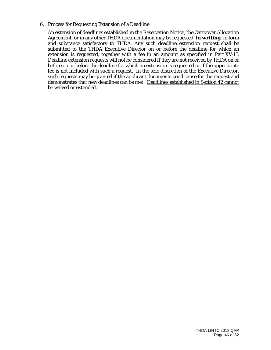#### 6. Process for Requesting Extension of a Deadline

An extension of deadlines established in the Reservation Notice, the Carryover Allocation Agreement, or in any other THDA documentation may be requested, **in writing,** in form and substance satisfactory to THDA. Any such deadline extension request shall be submitted to the THDA Executive Director on or before the deadline for which an extension is requested, together with a fee in an amount as specified in Part XV-H. Deadline extension requests will not be considered if they are not received by THDA on or before on or before the deadline for which an extension is requested or if the appropriate fee is not included with such a request. In the sole discretion of the Executive Director, such requests may be granted if the applicant documents good cause for the request and demonstrates that new deadlines can be met. Deadlines established in Section 42 cannot be waived or extended.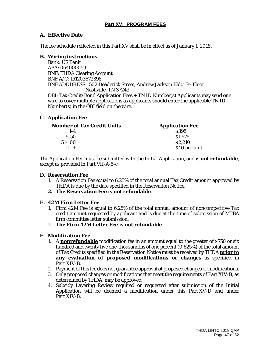#### **Part XV: PROGRAM FEES**

#### **A. Effective Date**

The fee schedule reflected in this Part XV shall be in effect as of January 1, 2018.

#### **B. Wiring instructions**

Bank: US Bank ABA: 064000059 BNF: THDA Clearing Account BNF A/C: 151203673398 BNF ADDDRESS: 502 Deaderick Street, Andrew Jackson Bldg. 3rd Floor Nashville, TN 37243

OBI: Tax Credit/Bond Application Fees + TN ID Number(s) Applicants may send one wire to cover multiple applications as applicants should enter the applicable TN ID Number(s) in the OBI field on the wire.

#### **C. Application Fee**

| <b>Number of Tax Credit Units</b> | <b>Application Fee</b> |
|-----------------------------------|------------------------|
| $1 - 4$                           | \$395                  |
| $5 - 50$                          | \$1,575                |
| 51-100                            | \$2,210                |
| $101+$                            | \$40 per unit          |

The Application Fee must be submitted with the Initial Application, and is **not refundable**, except as provided in Part VII-A-5-c.

#### **D. Reservation Fee**

- 1. A Reservation Fee equal to 6.25% of the total annual Tax Credit amount approved by THDA is due by the date specified in the Reservation Notice.
- **2. The Reservation Fee is not refundable**.

#### **E. 42M Firm Letter Fee**

- 1. Firm 42M Fee is equal to 6.25% of the total annual amount of noncompetitive Tax credit amount requested by applicant and is due at the time of submission of MTBA firm committee letter submission.
- 2. **The Firm 42M Letter Fee is not refundable**

#### **F. Modification Fee**

- 1. A **nonrefundable** modification fee in an amount equal to the greater of \$750 or six hundred and twenty five one-thousandths of one percent (0.625%) of the total amount of Tax Credits specified in the Reservation Notice must be received by THDA **prior to any evaluation of proposed modifications or changes** as specified in Part XIV-B.
- 2. Payment of this fee does not guarantee approval of proposed changes or modifications.
- 3. Only proposed changes or modifications that meet the requirements of Part XIV-B, as determined by THDA, may be approved.
- 4. Subsidy Layering Review required or requested after submission of the Initial Application will be deemed a modification under this Part XV-D and under Part XIV-B.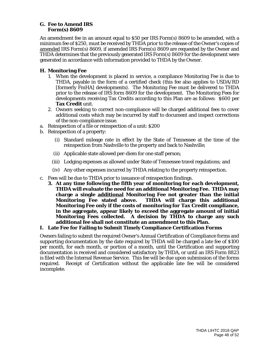#### **G. Fee to Amend IRS Form(s) 8609**

An amendment fee in an amount equal to \$50 per IRS Form(s) 8609 to be amended, with a minimum fee of \$250, must be received by THDA prior to the release of the Owner's copies of amended IRS Form(s) 8609, if amended IRS Form(s) 8609 are requested by the Owner and THDA determines that the previously generated IRS Form(s) 8609 for the development were generated in accordance with information provided to THDA by the Owner.

#### **H. Monitoring Fee**

- 1. When the development is placed in service, a compliance Monitoring Fee is due to THDA, payable in the form of a certified check (this fee also applies to USDA/RD [formerly FmHA] developments). The Monitoring Fee must be delivered to THDA prior to the release of IRS form 8609 for the development. The Monitoring Fees for developments receiving Tax Credits according to this Plan are as follows: \$600 per **Tax Credit** unit.
- 2. Owners seeking to correct non-compliance will be charged additional fees to cover additional costs which may be incurred by staff to document and inspect corrections of the non-compliance issue.
- a. Reinspection of a file or reinspection of a unit: \$200
- b. Reinspection of a property:
	- (i) Standard mileage rate in effect by the State of Tennessee at the time of the reinspection from Nashville to the property and back to Nashville;
	- (ii) Applicable state allowed per-diem for one staff person;
	- (iii) Lodging expenses as allowed under State of Tennessee travel regulations; and
	- (iv) Any other expenses incurred by THDA relating to the property reinspection.
- c. Fees will be due to THDA prior to issuance of reinspection findings.
	- **3. At any time following the fifth year of monitoring for each development, THDA will evaluate the need for an additional Monitoring Fee. THDA may charge a single additional Monitoring Fee not greater than the initial Monitoring Fee stated above. THDA will charge this additional Monitoring Fee only if the costs of monitoring for Tax Credit compliance, in the aggregate, appear likely to exceed the aggregate amount of initial Monitoring Fees collected. A decision by THDA to charge any such additional fee shall not constitute an amendment to this Plan.**

#### **I. Late Fee for Failing to Submit Timely Compliance Certification Forms**

Owners failing to submit the required Owner's Annual Certification of Compliance forms and supporting documentation by the date required by THDA will be charged a late fee of \$100 per month, for each month, or portion of a month, until the Certification and supporting documentation is received and considered satisfactory by THDA, or until an IRS Form 8823 is filed with the Internal Revenue Service. This fee will be due upon submission of the forms required. Receipt of Certification without the applicable late fee will be considered incomplete.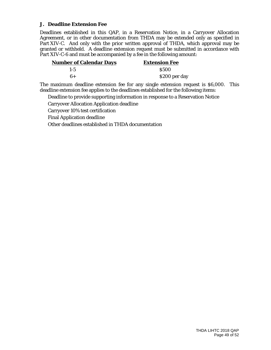#### **J. Deadline Extension Fee**

Deadlines established in this QAP, in a Reservation Notice, in a Carryover Allocation Agreement, or in other documentation from THDA may be extended only as specified in Part XIV-C. And only with the prior written approval of THDA, which approval may be granted or withheld. A deadline extension request must be submitted in accordance with Part XIV-C-6 and must be accompanied by a fee in the following amount:

| <b>Number of Calendar Days</b> | <b>Extension Fee</b> |  |
|--------------------------------|----------------------|--|
| $1 - 5$                        | <b>S500</b>          |  |
| 6+                             | \$200 per day        |  |

The maximum deadline extension fee for any single extension request is \$6,000. This deadline extension fee applies to the deadlines established for the following items:

Deadline to provide supporting information in response to a Reservation Notice

Carryover Allocation Application deadline

Carryover 10% test certification

Final Application deadline

Other deadlines established in THDA documentation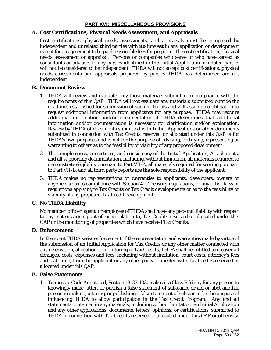#### **PART XVI: MISCELLANEOUS PROVISIONS**

#### **A. Cost Certifications, Physical Needs Assessment, and Appraisals**

Cost certifications, physical needs assessments, and appraisals must be completed by independent and unrelated third parties with **no** interest in any application or development except for an agreement to be paid reasonable fees for preparing the cost certification, physical needs assessment or appraisal. Persons or companies who serve or who have served as consultants or advisors to any parties identified in the Initial Application or related parties will not be considered to be independent. THDA will not accept cost certifications, physical needs assessments and appraisals prepared by parties THDA has determined are not independent.

#### **B. Document Review**

- 1. THDA will review and evaluate only those materials submitted in compliance with the requirements of this QAP. THDA will not evaluate any materials submitted outside the deadlines established for submission of such materials and will assume no obligation to request additional information from applicants for any purpose. THDA may require additional information and/or documentation if THDA determines that additional information and/or documentation is necessary for clarification and/or explanation. Review by THDA of documents submitted with Initial Applications or other documents submitted in connection with Tax Credits reserved or allocated under this QAP is for THDA's own purposes and is not for the purpose of advising, certifying, representing or warranting to others as to the feasibility or viability of any proposed development.
- 2. The completeness, correctness, and consistency of the Initial Application, Attachments, and all supporting documentation, including, without limitation, all materials required to demonstrate eligibility pursuant to Part VII-A, all materials required for scoring pursuant to Part VII-B, and all third party reports are the sole responsibility of the applicant.
- 3. THDA makes no representations or warranties to applicants, developers, owners or anyone else as to compliance with Section 42, Treasury regulations, or any other laws or regulations applying to Tax Credits or Tax Credit developments or as to the feasibility or viability of any proposed Tax Credit development.

#### **C. No THDA Liability**

No member, officer, agent, or employee of THDA shall have any personal liability with respect to any matters arising out of, or in relation to, Tax Credits reserved or allocated under this QAP or the monitoring of properties which have received Tax Credits.

#### **D. Enforcement**

In the event THDA seeks enforcement of the representation and warranties made by virtue of the submission of an Initial Application for Tax Credits or any other matter connected with any reservation, allocation or monitoring of Tax Credits, THDA shall be entitled to recover all damages, costs, expenses and fees, including without limitation, court costs, attorney's fees and staff time, from the applicant or any other party connected with Tax Credits reserved or allocated under this QAP.

#### **E. False Statements**

1. Tennessee Code Annotated, Section 13-23-133, makes it a Class E felony for any person to knowingly make, utter, or publish a false statement of substance or aid or abet another person in making, uttering, or publishing a false statement of substance for the purpose of influencing THDA to allow participation in the Tax Credit Program. Any and all statements contained in any materials, including without limitation, an Initial Application and any other applications, documents, letters, opinions, or certifications, submitted to THDA in connection with Tax Credits reserved or allocated under this QAP or otherwise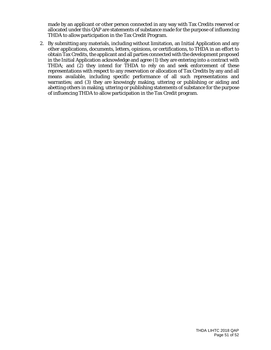made by an applicant or other person connected in any way with Tax Credits reserved or allocated under this QAP are statements of substance made for the purpose of influencing THDA to allow participation in the Tax Credit Program.

2. By submitting any materials, including without limitation, an Initial Application and any other applications, documents, letters, opinions, or certifications, to THDA in an effort to obtain Tax Credits, the applicant and all parties connected with the development proposed in the Initial Application acknowledge and agree (1) they are entering into a contract with THDA; and (2) they intend for THDA to rely on and seek enforcement of these representations with respect to any reservation or allocation of Tax Credits by any and all means available, including specific performance of all such representations and warranties; and (3) they are knowingly making, uttering or publishing or aiding and abetting others in making, uttering or publishing statements of substance for the purpose of influencing THDA to allow participation in the Tax Credit program.